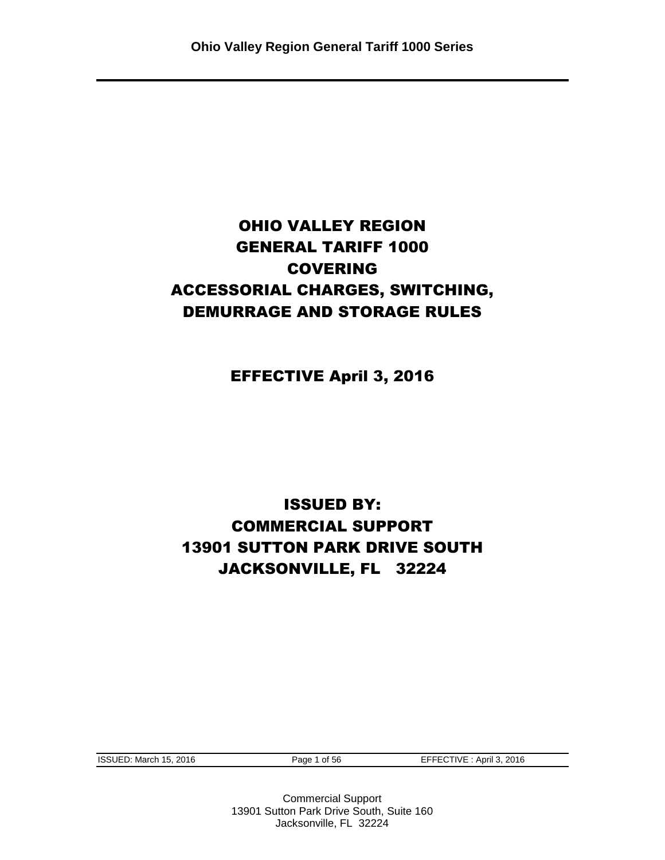# OHIO VALLEY REGION GENERAL TARIFF 1000 COVERING ACCESSORIAL CHARGES, SWITCHING, DEMURRAGE AND STORAGE RULES

EFFECTIVE April 3, 2016

# ISSUED BY: COMMERCIAL SUPPORT 13901 SUTTON PARK DRIVE SOUTH JACKSONVILLE, FL 32224

ISSUED: March 15, 2016 Page 1 of 56 EFFECTIVE : April 3, 2016

Commercial Support 13901 Sutton Park Drive South, Suite 160 Jacksonville, FL 32224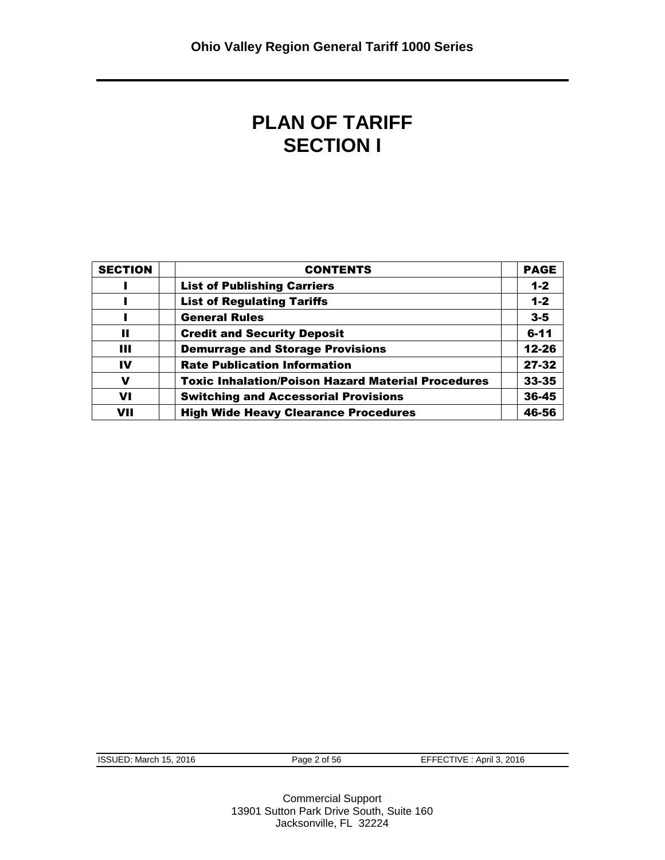# **PLAN OF TARIFF SECTION I**

| <b>SECTION</b> | <b>CONTENTS</b>                                           | <b>PAGE</b> |
|----------------|-----------------------------------------------------------|-------------|
|                | <b>List of Publishing Carriers</b>                        | $1-2$       |
|                | <b>List of Regulating Tariffs</b>                         | $1 - 2$     |
|                | <b>General Rules</b>                                      | $3 - 5$     |
| Ш              | <b>Credit and Security Deposit</b>                        | $6 - 11$    |
| Ш              | <b>Demurrage and Storage Provisions</b>                   | $12 - 26$   |
| IV             | <b>Rate Publication Information</b>                       | $27 - 32$   |
| v              | <b>Toxic Inhalation/Poison Hazard Material Procedures</b> | $33 - 35$   |
| VI             | <b>Switching and Accessorial Provisions</b>               | 36-45       |
| <b>VII</b>     | <b>High Wide Heavy Clearance Procedures</b>               | 46-56       |

ISSUED: March 15, 2016 Page 2 of 56 EFFECTIVE : April 3, 2016

Commercial Support 13901 Sutton Park Drive South, Suite 160 Jacksonville, FL 32224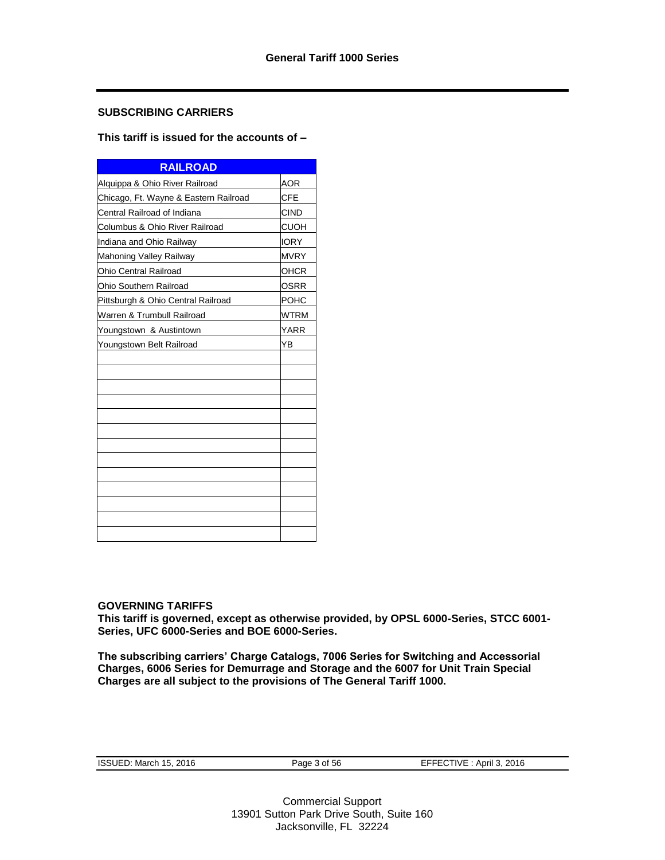#### **SUBSCRIBING CARRIERS**

#### **This tariff is issued for the accounts of –**

| <b>RAILROAD</b>                       |             |
|---------------------------------------|-------------|
| Alquippa & Ohio River Railroad        | AOR         |
| Chicago, Ft. Wayne & Eastern Railroad | <b>CFE</b>  |
| Central Railroad of Indiana           | <b>CIND</b> |
| Columbus & Ohio River Railroad        | <b>CUOH</b> |
| Indiana and Ohio Railway              | <b>IORY</b> |
| Mahoning Valley Railway               | <b>MVRY</b> |
| Ohio Central Railroad                 | OHCR        |
| Ohio Southern Railroad                | OSRR        |
| Pittsburgh & Ohio Central Railroad    | POHC        |
| Warren & Trumbull Railroad            | <b>WTRM</b> |
| Youngstown & Austintown               | <b>YARR</b> |
| Youngstown Belt Railroad              | YΒ          |
|                                       |             |
|                                       |             |
|                                       |             |
|                                       |             |
|                                       |             |
|                                       |             |
|                                       |             |
|                                       |             |
|                                       |             |
|                                       |             |
|                                       |             |
|                                       |             |
|                                       |             |

#### **GOVERNING TARIFFS**

**This tariff is governed, except as otherwise provided, by OPSL 6000-Series, STCC 6001- Series, UFC 6000-Series and BOE 6000-Series.**

**The subscribing carriers' Charge Catalogs, 7006 Series for Switching and Accessorial Charges, 6006 Series for Demurrage and Storage and the 6007 for Unit Train Special Charges are all subject to the provisions of The General Tariff 1000.**

| ISSUED: March 15, 2016 |  |  |
|------------------------|--|--|
|------------------------|--|--|

Page 3 of 56 EFFECTIVE : April 3, 2016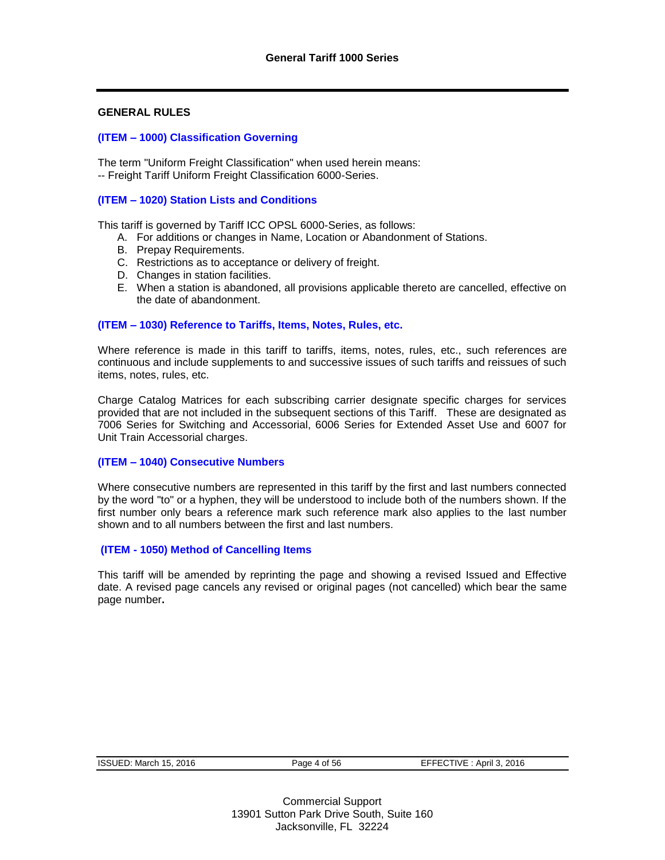#### **GENERAL RULES**

#### **(ITEM – 1000) Classification Governing**

The term "Uniform Freight Classification" when used herein means: -- Freight Tariff Uniform Freight Classification 6000-Series.

#### **(ITEM – 1020) Station Lists and Conditions**

This tariff is governed by Tariff ICC OPSL 6000-Series, as follows:

- A. For additions or changes in Name, Location or Abandonment of Stations.
- B. Prepay Requirements.
- C. Restrictions as to acceptance or delivery of freight.
- D. Changes in station facilities.
- E. When a station is abandoned, all provisions applicable thereto are cancelled, effective on the date of abandonment.

#### **(ITEM – 1030) Reference to Tariffs, Items, Notes, Rules, etc.**

Where reference is made in this tariff to tariffs, items, notes, rules, etc., such references are continuous and include supplements to and successive issues of such tariffs and reissues of such items, notes, rules, etc.

Charge Catalog Matrices for each subscribing carrier designate specific charges for services provided that are not included in the subsequent sections of this Tariff. These are designated as 7006 Series for Switching and Accessorial, 6006 Series for Extended Asset Use and 6007 for Unit Train Accessorial charges.

#### **(ITEM – 1040) Consecutive Numbers**

Where consecutive numbers are represented in this tariff by the first and last numbers connected by the word "to" or a hyphen, they will be understood to include both of the numbers shown. If the first number only bears a reference mark such reference mark also applies to the last number shown and to all numbers between the first and last numbers.

#### **(ITEM - 1050) Method of Cancelling Items**

This tariff will be amended by reprinting the page and showing a revised Issued and Effective date. A revised page cancels any revised or original pages (not cancelled) which bear the same page number**.**

| ISSUED: March 15, 2016 | Page 4 of 56 | EFFECTIVE : April 3, 2016 |
|------------------------|--------------|---------------------------|
|                        |              |                           |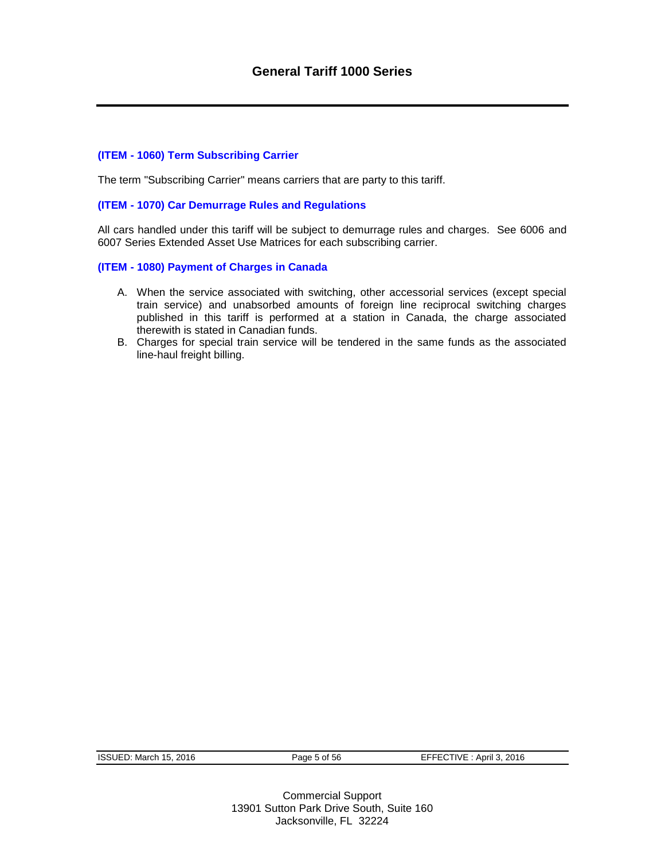## **(ITEM - 1060) Term Subscribing Carrier**

The term "Subscribing Carrier" means carriers that are party to this tariff.

#### **(ITEM - 1070) Car Demurrage Rules and Regulations**

All cars handled under this tariff will be subject to demurrage rules and charges. See 6006 and 6007 Series Extended Asset Use Matrices for each subscribing carrier.

#### **(ITEM - 1080) Payment of Charges in Canada**

- A. When the service associated with switching, other accessorial services (except special train service) and unabsorbed amounts of foreign line reciprocal switching charges published in this tariff is performed at a station in Canada, the charge associated therewith is stated in Canadian funds.
- B. Charges for special train service will be tendered in the same funds as the associated line-haul freight billing.

| ISSUED: March 15, 2016 |  |  |
|------------------------|--|--|
|                        |  |  |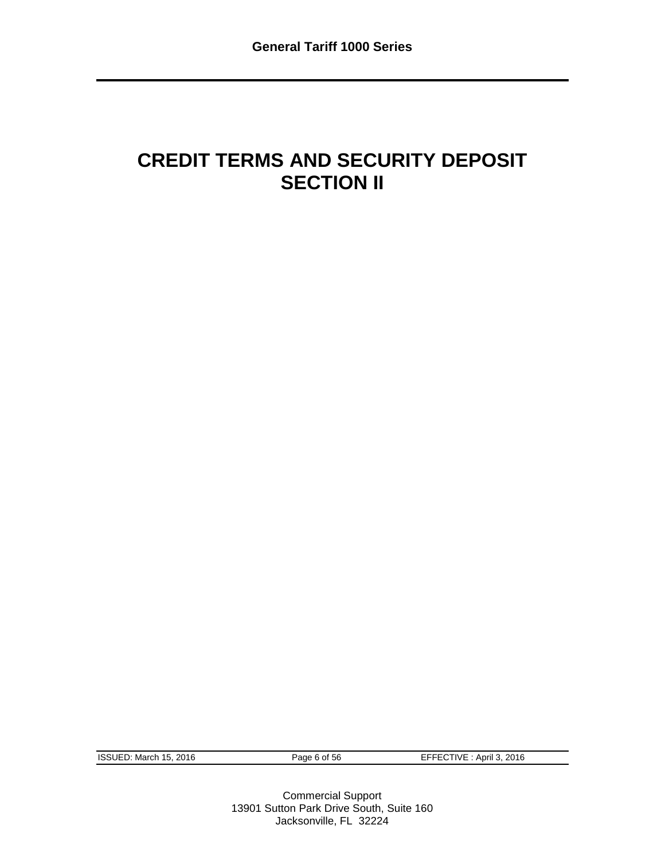# **CREDIT TERMS AND SECURITY DEPOSIT SECTION II**

ISSUED: March 15, 2016 Page 6 of 56 EFFECTIVE : April 3, 2016

Commercial Support 13901 Sutton Park Drive South, Suite 160 Jacksonville, FL 32224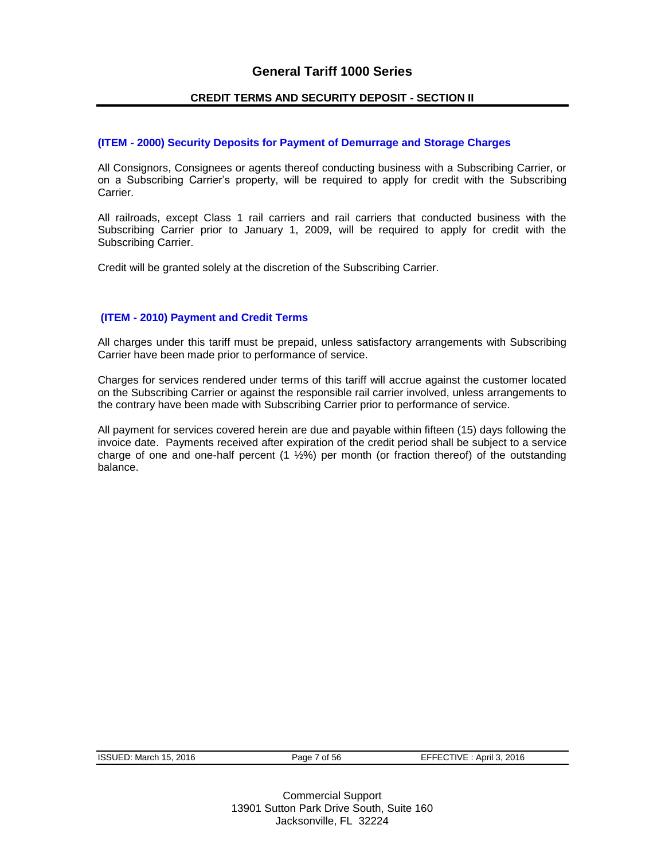## **CREDIT TERMS AND SECURITY DEPOSIT - SECTION II**

### **(ITEM - 2000) Security Deposits for Payment of Demurrage and Storage Charges**

All Consignors, Consignees or agents thereof conducting business with a Subscribing Carrier, or on a Subscribing Carrier's property, will be required to apply for credit with the Subscribing Carrier.

All railroads, except Class 1 rail carriers and rail carriers that conducted business with the Subscribing Carrier prior to January 1, 2009, will be required to apply for credit with the Subscribing Carrier.

Credit will be granted solely at the discretion of the Subscribing Carrier.

### **(ITEM - 2010) Payment and Credit Terms**

All charges under this tariff must be prepaid, unless satisfactory arrangements with Subscribing Carrier have been made prior to performance of service.

Charges for services rendered under terms of this tariff will accrue against the customer located on the Subscribing Carrier or against the responsible rail carrier involved, unless arrangements to the contrary have been made with Subscribing Carrier prior to performance of service.

All payment for services covered herein are due and payable within fifteen (15) days following the invoice date. Payments received after expiration of the credit period shall be subject to a service charge of one and one-half percent  $(1\frac{1}{2}\%)$  per month (or fraction thereof) of the outstanding balance.

| ISSUED: March 15, 2016 | Page 7 of 56 | EFFECTIVE : April 3, 2016 |
|------------------------|--------------|---------------------------|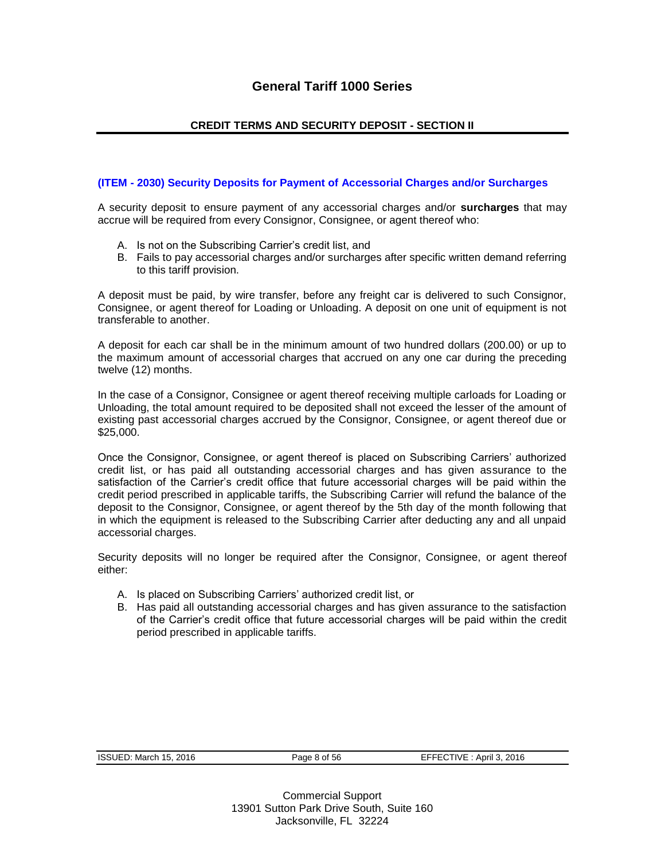## **CREDIT TERMS AND SECURITY DEPOSIT - SECTION II**

## **(ITEM - 2030) Security Deposits for Payment of Accessorial Charges and/or Surcharges**

A security deposit to ensure payment of any accessorial charges and/or **surcharges** that may accrue will be required from every Consignor, Consignee, or agent thereof who:

- A. Is not on the Subscribing Carrier's credit list, and
- B. Fails to pay accessorial charges and/or surcharges after specific written demand referring to this tariff provision.

A deposit must be paid, by wire transfer, before any freight car is delivered to such Consignor, Consignee, or agent thereof for Loading or Unloading. A deposit on one unit of equipment is not transferable to another.

A deposit for each car shall be in the minimum amount of two hundred dollars (200.00) or up to the maximum amount of accessorial charges that accrued on any one car during the preceding twelve (12) months.

In the case of a Consignor, Consignee or agent thereof receiving multiple carloads for Loading or Unloading, the total amount required to be deposited shall not exceed the lesser of the amount of existing past accessorial charges accrued by the Consignor, Consignee, or agent thereof due or \$25,000.

Once the Consignor, Consignee, or agent thereof is placed on Subscribing Carriers' authorized credit list, or has paid all outstanding accessorial charges and has given assurance to the satisfaction of the Carrier's credit office that future accessorial charges will be paid within the credit period prescribed in applicable tariffs, the Subscribing Carrier will refund the balance of the deposit to the Consignor, Consignee, or agent thereof by the 5th day of the month following that in which the equipment is released to the Subscribing Carrier after deducting any and all unpaid accessorial charges.

Security deposits will no longer be required after the Consignor, Consignee, or agent thereof either:

- A. Is placed on Subscribing Carriers' authorized credit list, or
- B. Has paid all outstanding accessorial charges and has given assurance to the satisfaction of the Carrier's credit office that future accessorial charges will be paid within the credit period prescribed in applicable tariffs.

| ISSUED: March 15, 2016 | Page 8 of 56 | EFFECTIVE : April 3, 2016 |
|------------------------|--------------|---------------------------|
|                        |              |                           |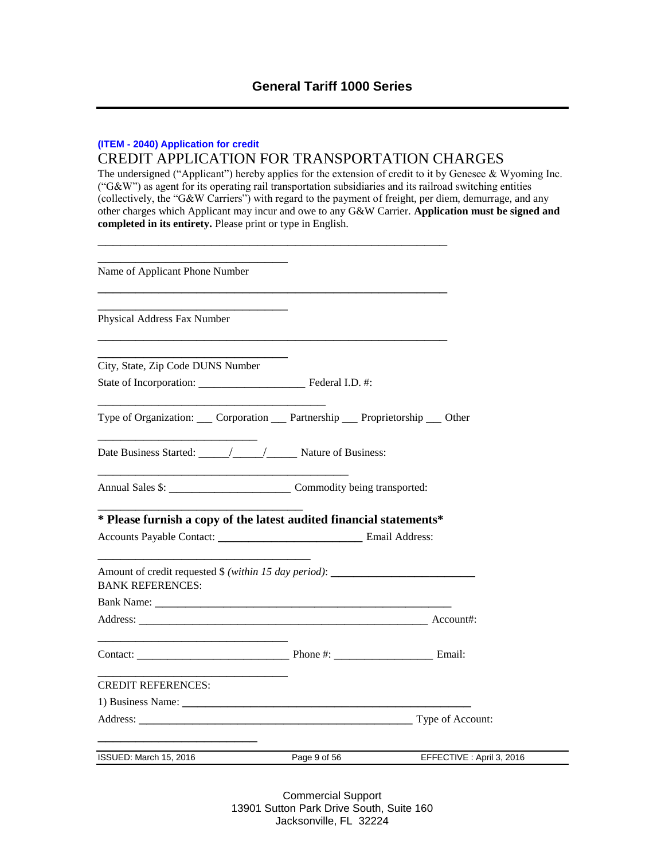# **(ITEM - 2040) Application for credit**

CREDIT APPLICATION FOR TRANSPORTATION CHARGES

\_\_\_\_\_\_\_\_\_\_\_\_\_\_\_\_\_\_\_\_\_\_\_\_\_\_\_\_\_\_\_\_\_\_\_\_\_\_\_\_\_\_\_\_\_\_

The undersigned ("Applicant") hereby applies for the extension of credit to it by Genesee & Wyoming Inc. ("G&W") as agent for its operating rail transportation subsidiaries and its railroad switching entities (collectively, the "G&W Carriers") with regard to the payment of freight, per diem, demurrage, and any other charges which Applicant may incur and owe to any G&W Carrier. **Application must be signed and completed in its entirety.** Please print or type in English.

| Name of Applicant Phone Number                                                                                |              |                          |
|---------------------------------------------------------------------------------------------------------------|--------------|--------------------------|
| Physical Address Fax Number                                                                                   |              |                          |
| City, State, Zip Code DUNS Number                                                                             |              |                          |
| Type of Organization: __ Corporation __ Partnership __ Proprietorship __ Other                                |              |                          |
|                                                                                                               |              |                          |
|                                                                                                               |              |                          |
| * Please furnish a copy of the latest audited financial statements*                                           |              |                          |
| Accounts Payable Contact: Email Address:                                                                      |              |                          |
| Amount of credit requested \$ (within 15 day period): ____________________________<br><b>BANK REFERENCES:</b> |              |                          |
|                                                                                                               |              |                          |
|                                                                                                               |              |                          |
|                                                                                                               |              |                          |
| <b>CREDIT REFERENCES:</b>                                                                                     |              |                          |
|                                                                                                               |              |                          |
| Address: Type of Account:                                                                                     |              |                          |
| ISSUED: March 15, 2016                                                                                        | Page 9 of 56 | EFFECTIVE: April 3, 2016 |

Commercial Support 13901 Sutton Park Drive South, Suite 160 Jacksonville, FL 32224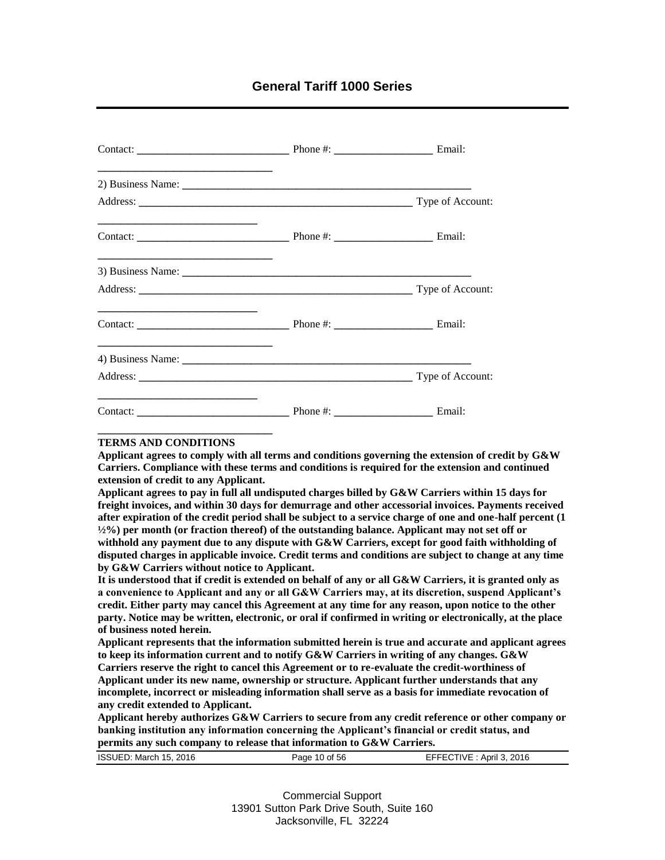| <u> 1980 - Jan James James James James James James James James James James James James James James James James J</u>  |                  |
|-----------------------------------------------------------------------------------------------------------------------|------------------|
|                                                                                                                       |                  |
| <u> Listen de la contrada de la contrada de la contrada de la contrada de la contrada de la contrada de la contra</u> |                  |
| <u> 1989 - Johann Stoff, deutscher Stoff, der Stoff, der Stoff, der Stoff, der Stoff, der Stoff, der Stoff, der S</u> |                  |
|                                                                                                                       | Type of Account: |
|                                                                                                                       | Email:           |

## \_\_\_\_\_\_\_\_\_\_\_\_\_\_\_\_\_\_\_\_\_\_\_ **TERMS AND CONDITIONS**

**Applicant agrees to comply with all terms and conditions governing the extension of credit by G&W Carriers. Compliance with these terms and conditions is required for the extension and continued extension of credit to any Applicant.** 

**Applicant agrees to pay in full all undisputed charges billed by G&W Carriers within 15 days for freight invoices, and within 30 days for demurrage and other accessorial invoices. Payments received after expiration of the credit period shall be subject to a service charge of one and one-half percent (1 ½%) per month (or fraction thereof) of the outstanding balance. Applicant may not set off or withhold any payment due to any dispute with G&W Carriers, except for good faith withholding of disputed charges in applicable invoice. Credit terms and conditions are subject to change at any time by G&W Carriers without notice to Applicant.** 

**It is understood that if credit is extended on behalf of any or all G&W Carriers, it is granted only as a convenience to Applicant and any or all G&W Carriers may, at its discretion, suspend Applicant's credit. Either party may cancel this Agreement at any time for any reason, upon notice to the other party. Notice may be written, electronic, or oral if confirmed in writing or electronically, at the place of business noted herein.** 

**Applicant represents that the information submitted herein is true and accurate and applicant agrees to keep its information current and to notify G&W Carriers in writing of any changes. G&W Carriers reserve the right to cancel this Agreement or to re-evaluate the credit-worthiness of Applicant under its new name, ownership or structure. Applicant further understands that any incomplete, incorrect or misleading information shall serve as a basis for immediate revocation of any credit extended to Applicant.** 

**Applicant hereby authorizes G&W Carriers to secure from any credit reference or other company or banking institution any information concerning the Applicant's financial or credit status, and permits any such company to release that information to G&W Carriers.** 

| ISSUED:<br>March 15, 2016 | 56<br>Page.<br>Οt | April 3, 2016<br><b>FIVE</b> |
|---------------------------|-------------------|------------------------------|
|                           |                   |                              |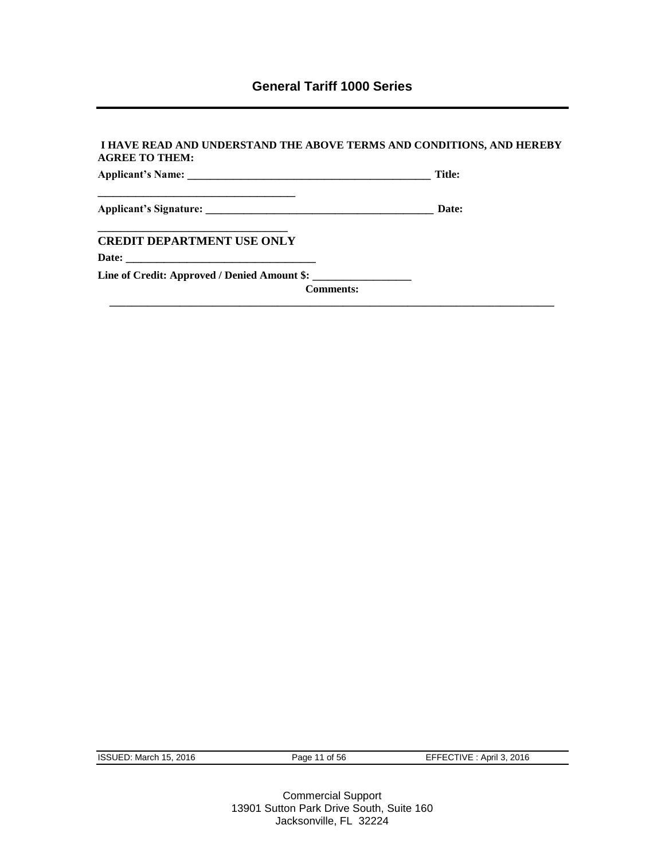| I HAVE READ AND UNDERSTAND THE ABOVE TERMS AND CONDITIONS, AND HEREBY |  |
|-----------------------------------------------------------------------|--|
| <b>AGREE TO THEM:</b>                                                 |  |

**Applicant's Name:** \_\_\_\_\_\_\_\_\_\_\_\_\_\_\_\_\_\_\_\_\_\_\_\_\_\_\_\_\_\_\_\_ **Title:**  \_\_\_\_\_\_\_\_\_\_\_\_\_\_\_\_\_\_\_\_\_\_\_\_\_\_

**Applicant's Signature:** \_\_\_\_\_\_\_\_\_\_\_\_\_\_\_\_\_\_\_\_\_\_\_\_\_\_\_\_\_\_ **Date:** 

\_\_\_\_\_\_\_\_\_\_\_\_\_\_\_\_\_\_\_\_\_\_\_\_\_ **CREDIT DEPARTMENT USE ONLY** 

**Date:** \_\_\_\_\_\_\_\_\_\_\_\_\_\_\_\_\_\_\_\_\_\_\_\_\_

Line of Credit: Approved / Denied Amount \$:

**Comments: \_\_\_\_\_\_\_\_\_\_\_\_\_\_\_\_\_\_\_\_\_\_\_\_\_\_\_\_\_\_\_\_\_\_\_\_\_\_\_\_\_\_\_\_\_\_\_\_\_\_\_\_\_\_\_\_\_\_\_\_\_\_\_\_\_\_\_\_\_\_\_\_\_\_\_\_\_\_\_\_\_\_**

ISSUED: March 15, 2016 Page 11 of 56 EFFECTIVE : April 3, 2016

Commercial Support 13901 Sutton Park Drive South, Suite 160 Jacksonville, FL 32224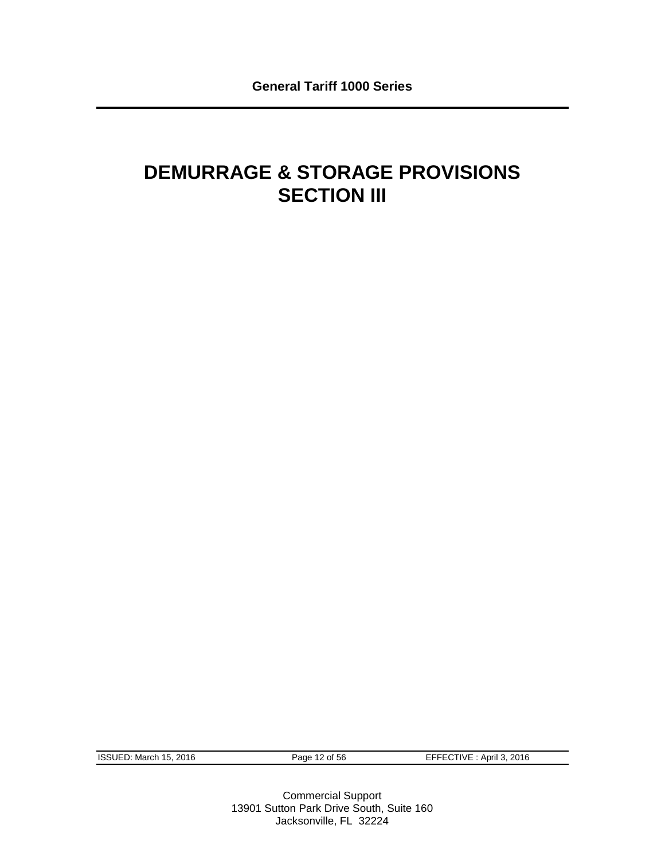# **DEMURRAGE & STORAGE PROVISIONS SECTION III**

ISSUED: March 15, 2016 Page 12 of 56 EFFECTIVE : April 3, 2016

Commercial Support 13901 Sutton Park Drive South, Suite 160 Jacksonville, FL 32224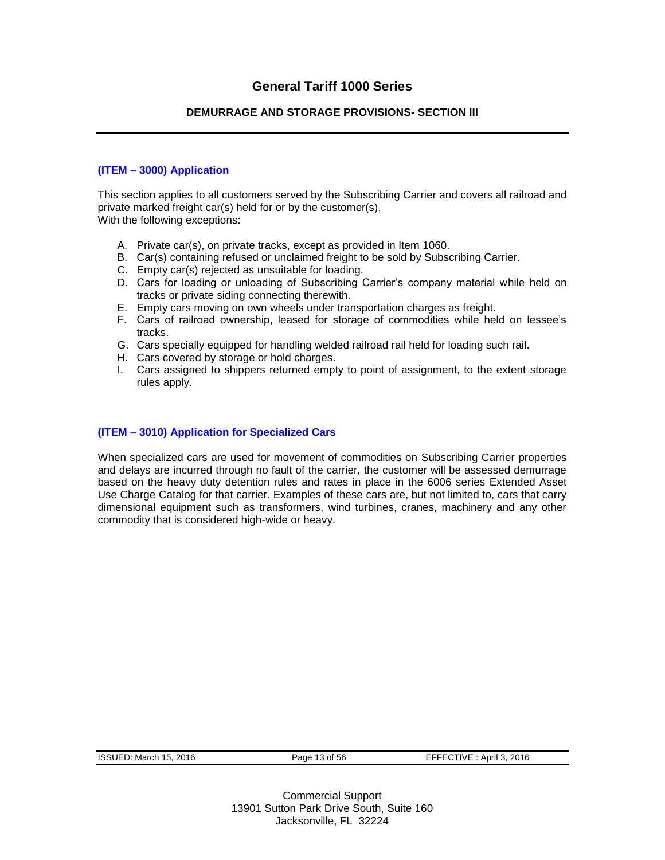#### **DEMURRAGE AND STORAGE PROVISIONS- SECTION III**

#### **(ITEM – 3000) Application**

This section applies to all customers served by the Subscribing Carrier and covers all railroad and private marked freight car(s) held for or by the customer(s), With the following exceptions:

- A. Private car(s), on private tracks, except as provided in Item 1060.
- B. Car(s) containing refused or unclaimed freight to be sold by Subscribing Carrier.
- C. Empty car(s) rejected as unsuitable for loading.
- D. Cars for loading or unloading of Subscribing Carrier's company material while held on tracks or private siding connecting therewith.
- E. Empty cars moving on own wheels under transportation charges as freight.
- F. Cars of railroad ownership, leased for storage of commodities while held on lessee's tracks.
- G. Cars specially equipped for handling welded railroad rail held for loading such rail.
- H. Cars covered by storage or hold charges.
- I. Cars assigned to shippers returned empty to point of assignment, to the extent storage rules apply.

#### **(ITEM – 3010) Application for Specialized Cars**

When specialized cars are used for movement of commodities on Subscribing Carrier properties and delays are incurred through no fault of the carrier, the customer will be assessed demurrage based on the heavy duty detention rules and rates in place in the 6006 series Extended Asset Use Charge Catalog for that carrier. Examples of these cars are, but not limited to, cars that carry dimensional equipment such as transformers, wind turbines, cranes, machinery and any other commodity that is considered high-wide or heavy.

| ISSUED: March 15, 2016 | Page 13 of 56 | EFFECTIVE: April 3, 2016 |
|------------------------|---------------|--------------------------|
|                        |               |                          |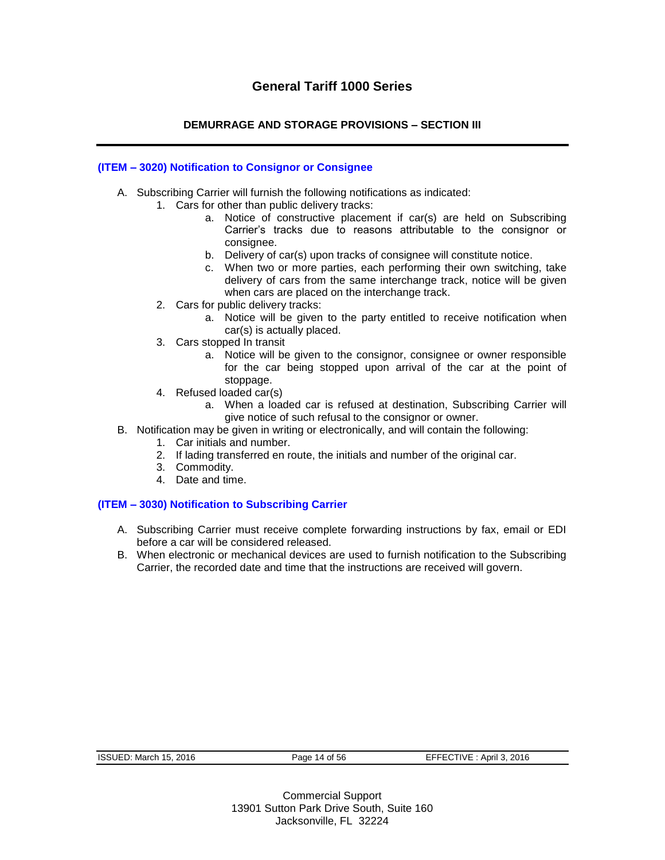## **DEMURRAGE AND STORAGE PROVISIONS – SECTION III**

## **(ITEM – 3020) Notification to Consignor or Consignee**

- A. Subscribing Carrier will furnish the following notifications as indicated:
	- 1. Cars for other than public delivery tracks:
		- a. Notice of constructive placement if car(s) are held on Subscribing Carrier's tracks due to reasons attributable to the consignor or consignee.
		- b. Delivery of car(s) upon tracks of consignee will constitute notice.
		- c. When two or more parties, each performing their own switching, take delivery of cars from the same interchange track, notice will be given when cars are placed on the interchange track.
	- 2. Cars for public delivery tracks:
		- a. Notice will be given to the party entitled to receive notification when car(s) is actually placed.
	- 3. Cars stopped In transit
		- a. Notice will be given to the consignor, consignee or owner responsible for the car being stopped upon arrival of the car at the point of stoppage.
	- 4. Refused loaded car(s)
		- a. When a loaded car is refused at destination, Subscribing Carrier will give notice of such refusal to the consignor or owner.
- B. Notification may be given in writing or electronically, and will contain the following:
	- 1. Car initials and number.
	- 2. If lading transferred en route, the initials and number of the original car.
	- 3. Commodity.
	- 4. Date and time.

## **(ITEM – 3030) Notification to Subscribing Carrier**

- A. Subscribing Carrier must receive complete forwarding instructions by fax, email or EDI before a car will be considered released.
- B. When electronic or mechanical devices are used to furnish notification to the Subscribing Carrier, the recorded date and time that the instructions are received will govern.

| ISSUED: March 15, 2016 | Page 14 of 56 | EFFECTIVE: April 3, 2016 |
|------------------------|---------------|--------------------------|
|                        |               |                          |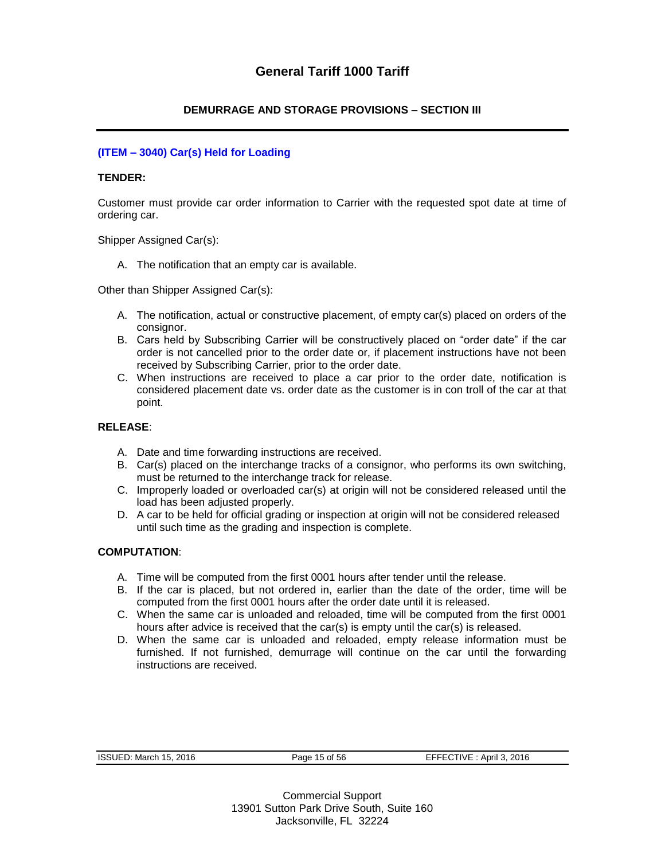## **DEMURRAGE AND STORAGE PROVISIONS – SECTION III**

### **(ITEM – 3040) Car(s) Held for Loading**

#### **TENDER:**

Customer must provide car order information to Carrier with the requested spot date at time of ordering car.

Shipper Assigned Car(s):

A. The notification that an empty car is available.

Other than Shipper Assigned Car(s):

- A. The notification, actual or constructive placement, of empty car(s) placed on orders of the consignor.
- B. Cars held by Subscribing Carrier will be constructively placed on "order date" if the car order is not cancelled prior to the order date or, if placement instructions have not been received by Subscribing Carrier, prior to the order date.
- C. When instructions are received to place a car prior to the order date, notification is considered placement date vs. order date as the customer is in con troll of the car at that point.

#### **RELEASE**:

- A. Date and time forwarding instructions are received.
- B. Car(s) placed on the interchange tracks of a consignor, who performs its own switching, must be returned to the interchange track for release.
- C. Improperly loaded or overloaded car(s) at origin will not be considered released until the load has been adjusted properly.
- D. A car to be held for official grading or inspection at origin will not be considered released until such time as the grading and inspection is complete.

#### **COMPUTATION**:

- A. Time will be computed from the first 0001 hours after tender until the release.
- B. If the car is placed, but not ordered in, earlier than the date of the order, time will be computed from the first 0001 hours after the order date until it is released.
- C. When the same car is unloaded and reloaded, time will be computed from the first 0001 hours after advice is received that the car(s) is empty until the car(s) is released.
- D. When the same car is unloaded and reloaded, empty release information must be furnished. If not furnished, demurrage will continue on the car until the forwarding instructions are received.

| ISSUED: March 15, 2016 | 15 of 56<br>Page | <b>EFFECTIVE</b><br>April 3, 2016 |
|------------------------|------------------|-----------------------------------|
|                        |                  |                                   |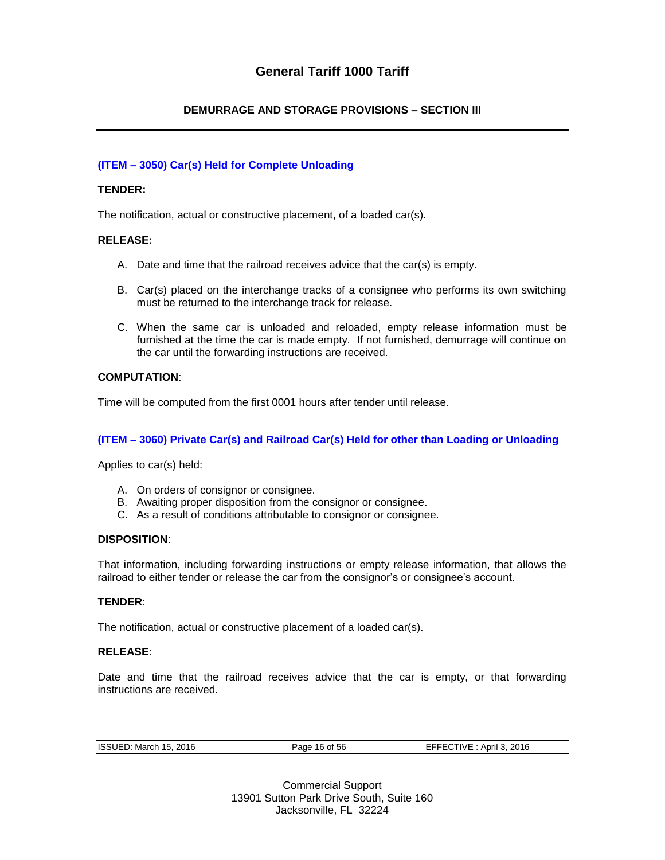## **DEMURRAGE AND STORAGE PROVISIONS – SECTION III**

## **(ITEM – 3050) Car(s) Held for Complete Unloading**

#### **TENDER:**

The notification, actual or constructive placement, of a loaded car(s).

### **RELEASE:**

- A. Date and time that the railroad receives advice that the car(s) is empty.
- B. Car(s) placed on the interchange tracks of a consignee who performs its own switching must be returned to the interchange track for release.
- C. When the same car is unloaded and reloaded, empty release information must be furnished at the time the car is made empty. If not furnished, demurrage will continue on the car until the forwarding instructions are received.

### **COMPUTATION**:

Time will be computed from the first 0001 hours after tender until release.

## **(ITEM – 3060) Private Car(s) and Railroad Car(s) Held for other than Loading or Unloading**

Applies to car(s) held:

- A. On orders of consignor or consignee.
- B. Awaiting proper disposition from the consignor or consignee.
- C. As a result of conditions attributable to consignor or consignee.

#### **DISPOSITION**:

That information, including forwarding instructions or empty release information, that allows the railroad to either tender or release the car from the consignor's or consignee's account.

#### **TENDER**:

The notification, actual or constructive placement of a loaded car(s).

### **RELEASE**:

Date and time that the railroad receives advice that the car is empty, or that forwarding instructions are received.

|--|

Commercial Support 13901 Sutton Park Drive South, Suite 160 Jacksonville, FL 32224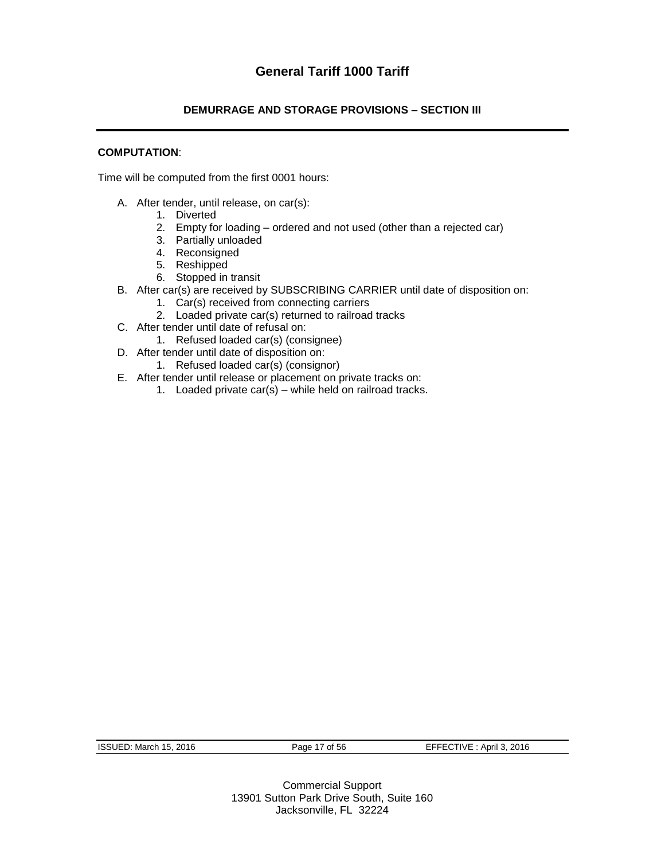## **DEMURRAGE AND STORAGE PROVISIONS – SECTION III**

### **COMPUTATION**:

Time will be computed from the first 0001 hours:

- A. After tender, until release, on car(s):
	- 1. Diverted
	- 2. Empty for loading ordered and not used (other than a rejected car)
	- 3. Partially unloaded
	- 4. Reconsigned
	- 5. Reshipped
	- 6. Stopped in transit
- B. After car(s) are received by SUBSCRIBING CARRIER until date of disposition on:
	- 1. Car(s) received from connecting carriers
	- 2. Loaded private car(s) returned to railroad tracks
- C. After tender until date of refusal on:
	- 1. Refused loaded car(s) (consignee)
- D. After tender until date of disposition on:
	- 1. Refused loaded car(s) (consignor)
- E. After tender until release or placement on private tracks on:
	- 1. Loaded private  $car(s)$  while held on railroad tracks.

ISSUED: March 15, 2016 Page 17 of 56 EFFECTIVE : April 3, 2016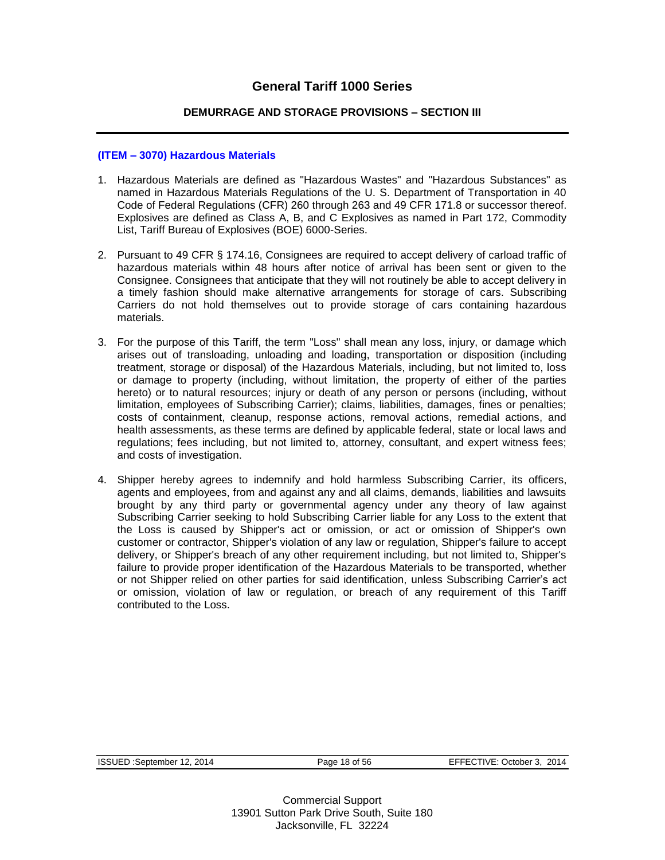#### **DEMURRAGE AND STORAGE PROVISIONS – SECTION III**

#### **(ITEM – 3070) Hazardous Materials**

- 1. Hazardous Materials are defined as "Hazardous Wastes" and "Hazardous Substances" as named in Hazardous Materials Regulations of the U. S. Department of Transportation in 40 Code of Federal Regulations (CFR) 260 through 263 and 49 CFR 171.8 or successor thereof. Explosives are defined as Class A, B, and C Explosives as named in Part 172, Commodity List, Tariff Bureau of Explosives (BOE) 6000-Series.
- 2. Pursuant to 49 CFR § 174.16, Consignees are required to accept delivery of carload traffic of hazardous materials within 48 hours after notice of arrival has been sent or given to the Consignee. Consignees that anticipate that they will not routinely be able to accept delivery in a timely fashion should make alternative arrangements for storage of cars. Subscribing Carriers do not hold themselves out to provide storage of cars containing hazardous materials.
- 3. For the purpose of this Tariff, the term "Loss" shall mean any loss, injury, or damage which arises out of transloading, unloading and loading, transportation or disposition (including treatment, storage or disposal) of the Hazardous Materials, including, but not limited to, loss or damage to property (including, without limitation, the property of either of the parties hereto) or to natural resources; injury or death of any person or persons (including, without limitation, employees of Subscribing Carrier); claims, liabilities, damages, fines or penalties; costs of containment, cleanup, response actions, removal actions, remedial actions, and health assessments, as these terms are defined by applicable federal, state or local laws and regulations; fees including, but not limited to, attorney, consultant, and expert witness fees; and costs of investigation.
- 4. Shipper hereby agrees to indemnify and hold harmless Subscribing Carrier, its officers, agents and employees, from and against any and all claims, demands, liabilities and lawsuits brought by any third party or governmental agency under any theory of law against Subscribing Carrier seeking to hold Subscribing Carrier liable for any Loss to the extent that the Loss is caused by Shipper's act or omission, or act or omission of Shipper's own customer or contractor, Shipper's violation of any law or regulation, Shipper's failure to accept delivery, or Shipper's breach of any other requirement including, but not limited to, Shipper's failure to provide proper identification of the Hazardous Materials to be transported, whether or not Shipper relied on other parties for said identification, unless Subscribing Carrier's act or omission, violation of law or regulation, or breach of any requirement of this Tariff contributed to the Loss.

| ISSUED:September 12, 2014 | Page 18 of 56 | EFFECTIVE: October 3, 2014 |
|---------------------------|---------------|----------------------------|
|                           |               |                            |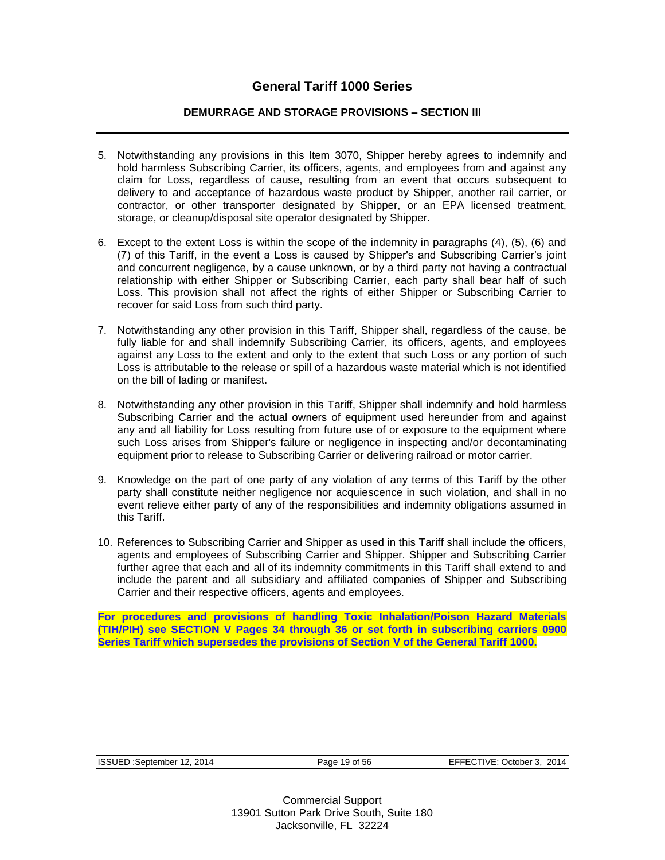#### **DEMURRAGE AND STORAGE PROVISIONS – SECTION III**

- 5. Notwithstanding any provisions in this Item 3070, Shipper hereby agrees to indemnify and hold harmless Subscribing Carrier, its officers, agents, and employees from and against any claim for Loss, regardless of cause, resulting from an event that occurs subsequent to delivery to and acceptance of hazardous waste product by Shipper, another rail carrier, or contractor, or other transporter designated by Shipper, or an EPA licensed treatment, storage, or cleanup/disposal site operator designated by Shipper.
- 6. Except to the extent Loss is within the scope of the indemnity in paragraphs (4), (5), (6) and (7) of this Tariff, in the event a Loss is caused by Shipper's and Subscribing Carrier's joint and concurrent negligence, by a cause unknown, or by a third party not having a contractual relationship with either Shipper or Subscribing Carrier, each party shall bear half of such Loss. This provision shall not affect the rights of either Shipper or Subscribing Carrier to recover for said Loss from such third party.
- 7. Notwithstanding any other provision in this Tariff, Shipper shall, regardless of the cause, be fully liable for and shall indemnify Subscribing Carrier, its officers, agents, and employees against any Loss to the extent and only to the extent that such Loss or any portion of such Loss is attributable to the release or spill of a hazardous waste material which is not identified on the bill of lading or manifest.
- 8. Notwithstanding any other provision in this Tariff, Shipper shall indemnify and hold harmless Subscribing Carrier and the actual owners of equipment used hereunder from and against any and all liability for Loss resulting from future use of or exposure to the equipment where such Loss arises from Shipper's failure or negligence in inspecting and/or decontaminating equipment prior to release to Subscribing Carrier or delivering railroad or motor carrier.
- 9. Knowledge on the part of one party of any violation of any terms of this Tariff by the other party shall constitute neither negligence nor acquiescence in such violation, and shall in no event relieve either party of any of the responsibilities and indemnity obligations assumed in this Tariff.
- 10. References to Subscribing Carrier and Shipper as used in this Tariff shall include the officers, agents and employees of Subscribing Carrier and Shipper. Shipper and Subscribing Carrier further agree that each and all of its indemnity commitments in this Tariff shall extend to and include the parent and all subsidiary and affiliated companies of Shipper and Subscribing Carrier and their respective officers, agents and employees.

**For procedures and provisions of handling Toxic Inhalation/Poison Hazard Materials (TIH/PIH) see SECTION V Pages 34 through 36 or set forth in subscribing carriers 0900 Series Tariff which supersedes the provisions of Section V of the General Tariff 1000.**

| ISSUED:September 12, 2014 | Page 19 of 56 | EFFECTIVE: October 3, 2014 |
|---------------------------|---------------|----------------------------|
|                           |               |                            |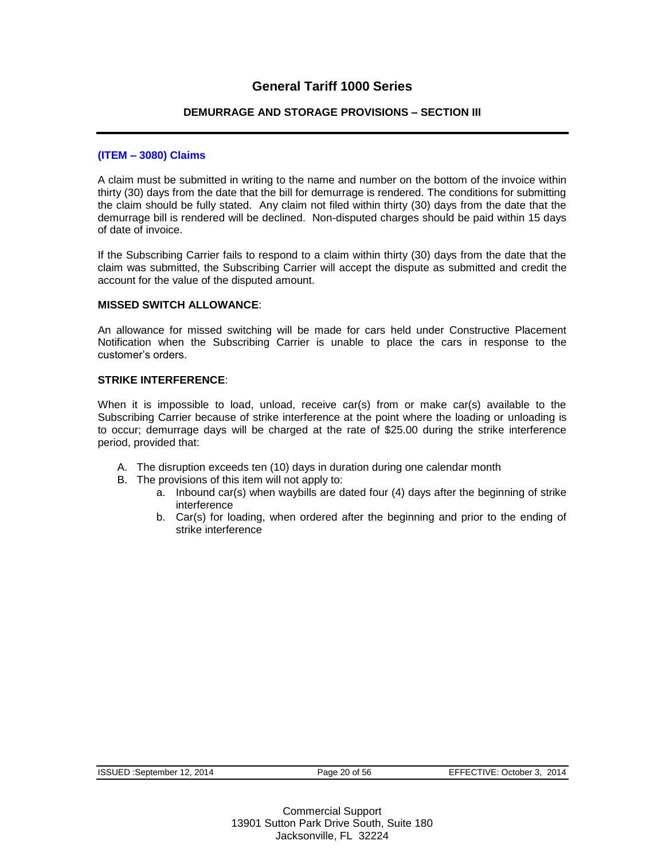#### **DEMURRAGE AND STORAGE PROVISIONS – SECTION III**

#### **(ITEM – 3080) Claims**

A claim must be submitted in writing to the name and number on the bottom of the invoice within thirty (30) days from the date that the bill for demurrage is rendered. The conditions for submitting the claim should be fully stated. Any claim not filed within thirty (30) days from the date that the demurrage bill is rendered will be declined. Non-disputed charges should be paid within 15 days of date of invoice.

If the Subscribing Carrier fails to respond to a claim within thirty (30) days from the date that the claim was submitted, the Subscribing Carrier will accept the dispute as submitted and credit the account for the value of the disputed amount.

#### **MISSED SWITCH ALLOWANCE**:

An allowance for missed switching will be made for cars held under Constructive Placement Notification when the Subscribing Carrier is unable to place the cars in response to the customer's orders.

#### **STRIKE INTERFERENCE**:

When it is impossible to load, unload, receive car(s) from or make car(s) available to the Subscribing Carrier because of strike interference at the point where the loading or unloading is to occur; demurrage days will be charged at the rate of \$25.00 during the strike interference period, provided that:

- A. The disruption exceeds ten (10) days in duration during one calendar month
- B. The provisions of this item will not apply to:
	- a. Inbound car(s) when waybills are dated four (4) days after the beginning of strike interference
	- b. Car(s) for loading, when ordered after the beginning and prior to the ending of strike interference

| ISSUED:September 12, 2014 | Page 20 of 56 | EFFECTIVE: October 3, 2014 |
|---------------------------|---------------|----------------------------|
|                           |               |                            |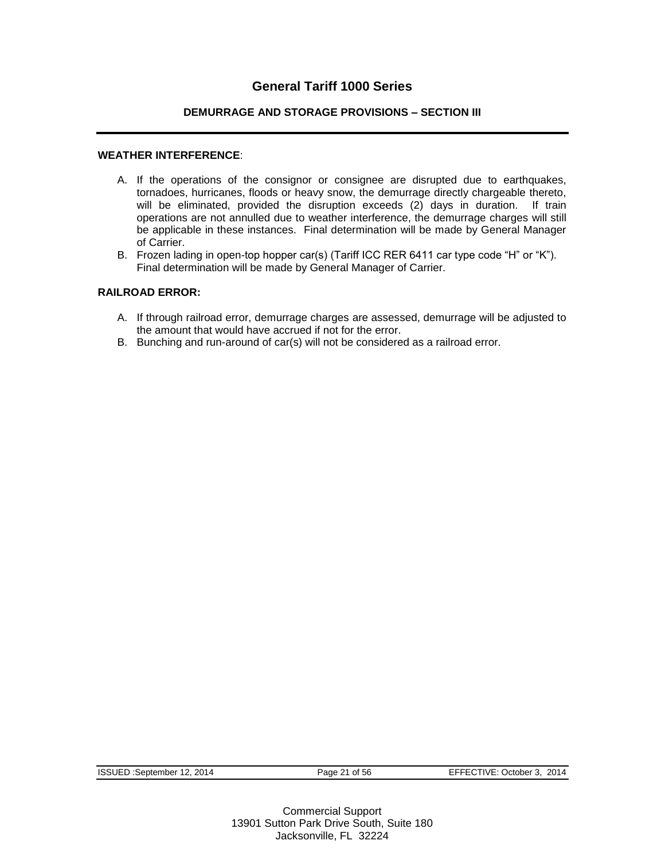#### **DEMURRAGE AND STORAGE PROVISIONS – SECTION III**

#### **WEATHER INTERFERENCE**:

- A. If the operations of the consignor or consignee are disrupted due to earthquakes, tornadoes, hurricanes, floods or heavy snow, the demurrage directly chargeable thereto, will be eliminated, provided the disruption exceeds (2) days in duration. If train operations are not annulled due to weather interference, the demurrage charges will still be applicable in these instances. Final determination will be made by General Manager of Carrier.
- B. Frozen lading in open-top hopper car(s) (Tariff ICC RER 6411 car type code "H" or "K"). Final determination will be made by General Manager of Carrier.

#### **RAILROAD ERROR:**

- A. If through railroad error, demurrage charges are assessed, demurrage will be adjusted to the amount that would have accrued if not for the error.
- B. Bunching and run-around of car(s) will not be considered as a railroad error.

| ISSUED:September 12, 2014 |  |
|---------------------------|--|
|                           |  |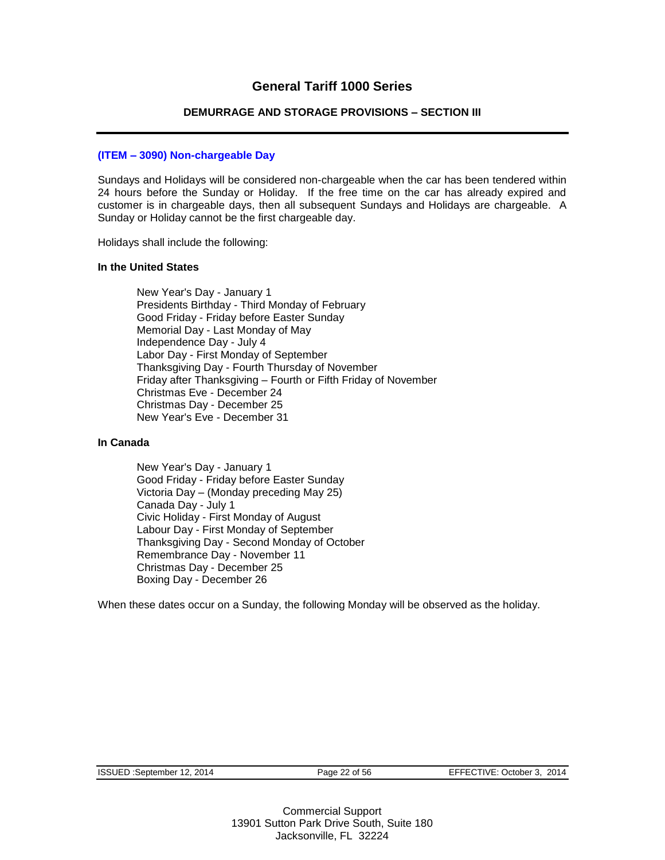#### **DEMURRAGE AND STORAGE PROVISIONS – SECTION III**

#### **(ITEM – 3090) Non-chargeable Day**

Sundays and Holidays will be considered non-chargeable when the car has been tendered within 24 hours before the Sunday or Holiday. If the free time on the car has already expired and customer is in chargeable days, then all subsequent Sundays and Holidays are chargeable. A Sunday or Holiday cannot be the first chargeable day.

Holidays shall include the following:

#### **In the United States**

New Year's Day - January 1 Presidents Birthday - Third Monday of February Good Friday - Friday before Easter Sunday Memorial Day - Last Monday of May Independence Day - July 4 Labor Day - First Monday of September Thanksgiving Day - Fourth Thursday of November Friday after Thanksgiving – Fourth or Fifth Friday of November Christmas Eve - December 24 Christmas Day - December 25 New Year's Eve - December 31

## **In Canada**

New Year's Day - January 1 Good Friday - Friday before Easter Sunday Victoria Day – (Monday preceding May 25) Canada Day - July 1 Civic Holiday - First Monday of August Labour Day - First Monday of September Thanksgiving Day - Second Monday of October Remembrance Day - November 11 Christmas Day - December 25 Boxing Day - December 26

When these dates occur on a Sunday, the following Monday will be observed as the holiday.

| ISSUED:September 12, 2014 | Page 22 of 56 | EFFECTIVE: October 3, 2014 |
|---------------------------|---------------|----------------------------|
|                           |               |                            |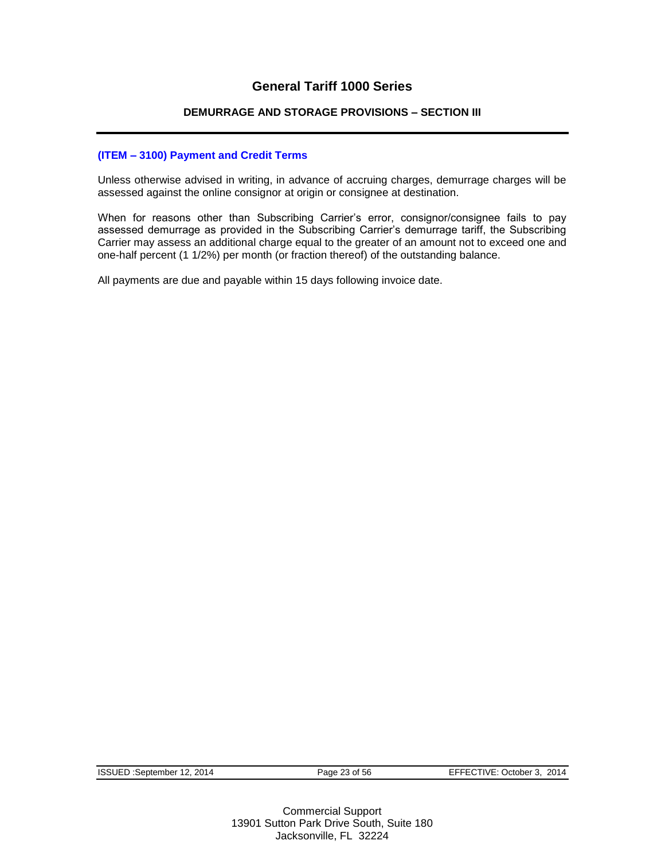## **DEMURRAGE AND STORAGE PROVISIONS – SECTION III**

## **(ITEM – 3100) Payment and Credit Terms**

Unless otherwise advised in writing, in advance of accruing charges, demurrage charges will be assessed against the online consignor at origin or consignee at destination.

When for reasons other than Subscribing Carrier's error, consignor/consignee fails to pay assessed demurrage as provided in the Subscribing Carrier's demurrage tariff, the Subscribing Carrier may assess an additional charge equal to the greater of an amount not to exceed one and one-half percent (1 1/2%) per month (or fraction thereof) of the outstanding balance.

All payments are due and payable within 15 days following invoice date.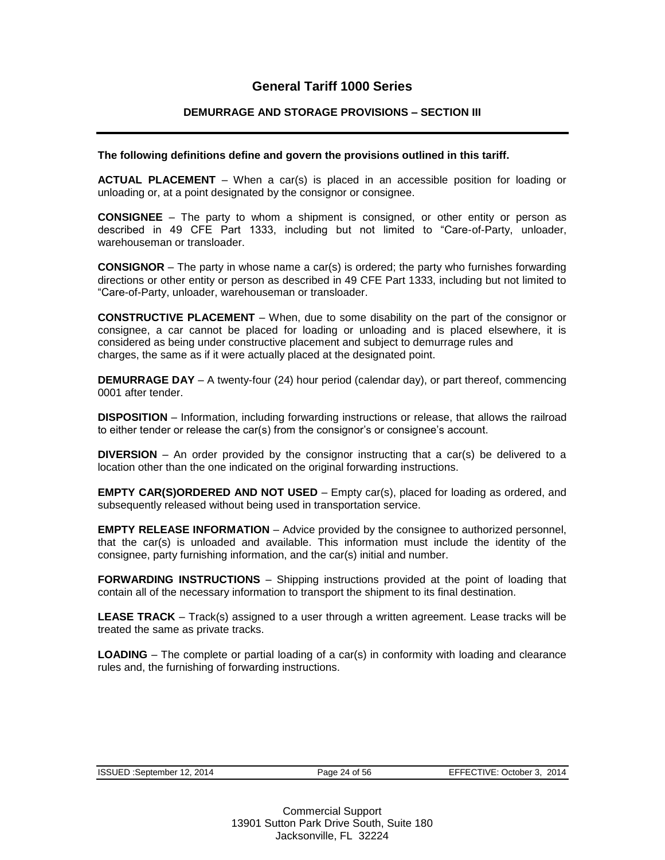#### **DEMURRAGE AND STORAGE PROVISIONS – SECTION III**

#### **The following definitions define and govern the provisions outlined in this tariff.**

**ACTUAL PLACEMENT** – When a car(s) is placed in an accessible position for loading or unloading or, at a point designated by the consignor or consignee.

**CONSIGNEE** – The party to whom a shipment is consigned, or other entity or person as described in 49 CFE Part 1333, including but not limited to "Care-of-Party, unloader, warehouseman or transloader.

**CONSIGNOR** – The party in whose name a car(s) is ordered; the party who furnishes forwarding directions or other entity or person as described in 49 CFE Part 1333, including but not limited to "Care-of-Party, unloader, warehouseman or transloader.

**CONSTRUCTIVE PLACEMENT** – When, due to some disability on the part of the consignor or consignee, a car cannot be placed for loading or unloading and is placed elsewhere, it is considered as being under constructive placement and subject to demurrage rules and charges, the same as if it were actually placed at the designated point.

**DEMURRAGE DAY** – A twenty-four (24) hour period (calendar day), or part thereof, commencing 0001 after tender.

**DISPOSITION** – Information, including forwarding instructions or release, that allows the railroad to either tender or release the car(s) from the consignor's or consignee's account.

**DIVERSION** – An order provided by the consignor instructing that a car(s) be delivered to a location other than the one indicated on the original forwarding instructions.

**EMPTY CAR(S)ORDERED AND NOT USED** – Empty car(s), placed for loading as ordered, and subsequently released without being used in transportation service.

**EMPTY RELEASE INFORMATION** – Advice provided by the consignee to authorized personnel, that the car(s) is unloaded and available. This information must include the identity of the consignee, party furnishing information, and the car(s) initial and number.

**FORWARDING INSTRUCTIONS** – Shipping instructions provided at the point of loading that contain all of the necessary information to transport the shipment to its final destination.

**LEASE TRACK** – Track(s) assigned to a user through a written agreement. Lease tracks will be treated the same as private tracks.

LOADING – The complete or partial loading of a car(s) in conformity with loading and clearance rules and, the furnishing of forwarding instructions.

| ISSUED:September 12, 2014 | Page 24 of 56 | EFFECTIVE: October 3, 2014 |
|---------------------------|---------------|----------------------------|
|                           |               |                            |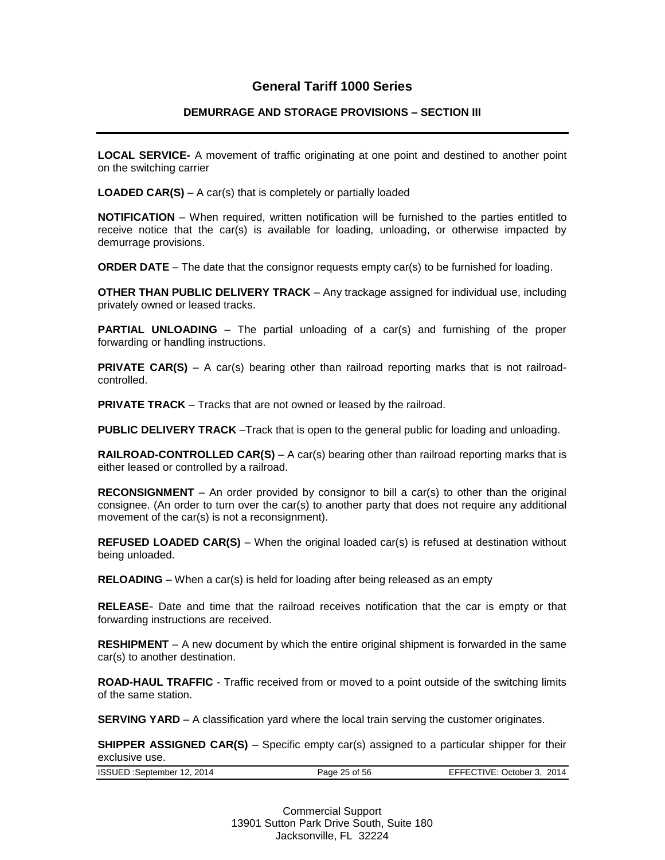#### **DEMURRAGE AND STORAGE PROVISIONS – SECTION III**

**LOCAL SERVICE-** A movement of traffic originating at one point and destined to another point on the switching carrier

**LOADED CAR(S)** – A car(s) that is completely or partially loaded

**NOTIFICATION** – When required, written notification will be furnished to the parties entitled to receive notice that the car(s) is available for loading, unloading, or otherwise impacted by demurrage provisions.

**ORDER DATE** – The date that the consignor requests empty car(s) to be furnished for loading.

**OTHER THAN PUBLIC DELIVERY TRACK** – Any trackage assigned for individual use, including privately owned or leased tracks.

**PARTIAL UNLOADING** – The partial unloading of a car(s) and furnishing of the proper forwarding or handling instructions.

**PRIVATE CAR(S)** – A car(s) bearing other than railroad reporting marks that is not railroadcontrolled.

**PRIVATE TRACK** – Tracks that are not owned or leased by the railroad.

**PUBLIC DELIVERY TRACK** –Track that is open to the general public for loading and unloading.

**RAILROAD-CONTROLLED CAR(S)** – A car(s) bearing other than railroad reporting marks that is either leased or controlled by a railroad.

**RECONSIGNMENT** – An order provided by consignor to bill a car(s) to other than the original consignee. (An order to turn over the car(s) to another party that does not require any additional movement of the car(s) is not a reconsignment).

**REFUSED LOADED CAR(S)** – When the original loaded car(s) is refused at destination without being unloaded.

**RELOADING** – When a car(s) is held for loading after being released as an empty

**RELEASE**- Date and time that the railroad receives notification that the car is empty or that forwarding instructions are received.

**RESHIPMENT** – A new document by which the entire original shipment is forwarded in the same car(s) to another destination.

**ROAD-HAUL TRAFFIC** - Traffic received from or moved to a point outside of the switching limits of the same station.

**SERVING YARD** – A classification yard where the local train serving the customer originates.

**SHIPPER ASSIGNED CAR(S)** – Specific empty car(s) assigned to a particular shipper for their exclusive use.

| ISSUED:September 12, 2014 | Page 25 of 56 | EFFECTIVE: October 3, 2014 |
|---------------------------|---------------|----------------------------|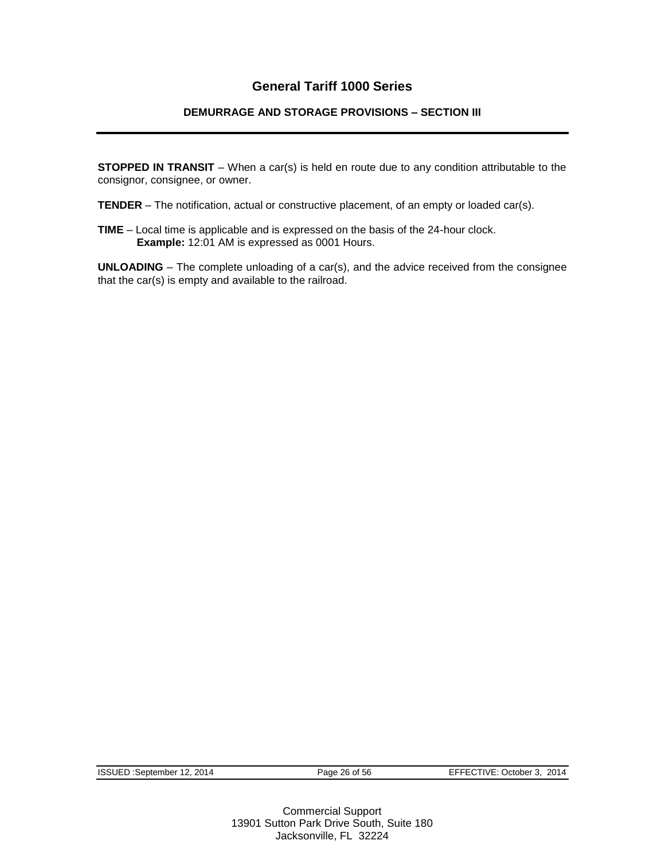## **DEMURRAGE AND STORAGE PROVISIONS – SECTION III**

**STOPPED IN TRANSIT** – When a car(s) is held en route due to any condition attributable to the consignor, consignee, or owner.

**TENDER** – The notification, actual or constructive placement, of an empty or loaded car(s).

**TIME** – Local time is applicable and is expressed on the basis of the 24-hour clock. **Example:** 12:01 AM is expressed as 0001 Hours.

**UNLOADING** – The complete unloading of a car(s), and the advice received from the consignee that the car(s) is empty and available to the railroad.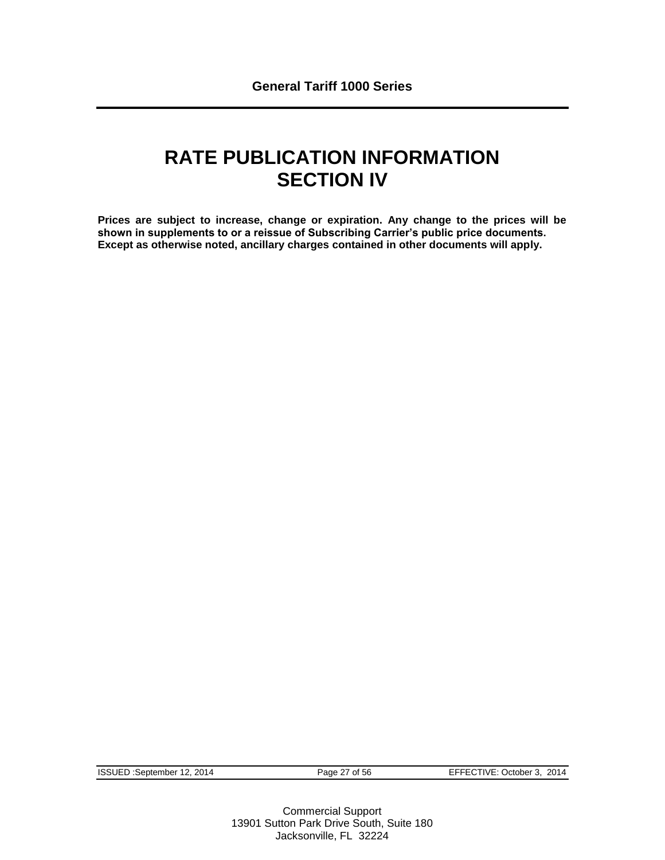# **RATE PUBLICATION INFORMATION SECTION IV**

**Prices are subject to increase, change or expiration. Any change to the prices will be shown in supplements to or a reissue of Subscribing Carrier's public price documents. Except as otherwise noted, ancillary charges contained in other documents will apply.**

| ISSUED:September 12, 2014 |
|---------------------------|
|---------------------------|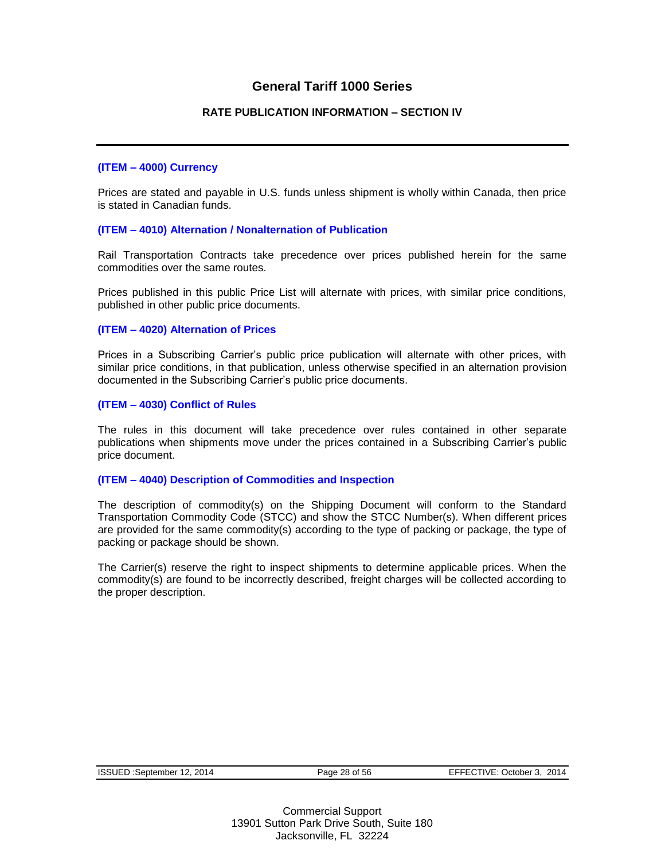### **RATE PUBLICATION INFORMATION – SECTION IV**

#### **(ITEM – 4000) Currency**

Prices are stated and payable in U.S. funds unless shipment is wholly within Canada, then price is stated in Canadian funds.

#### **(ITEM – 4010) Alternation / Nonalternation of Publication**

Rail Transportation Contracts take precedence over prices published herein for the same commodities over the same routes.

Prices published in this public Price List will alternate with prices, with similar price conditions, published in other public price documents.

#### **(ITEM – 4020) Alternation of Prices**

Prices in a Subscribing Carrier's public price publication will alternate with other prices, with similar price conditions, in that publication, unless otherwise specified in an alternation provision documented in the Subscribing Carrier's public price documents.

#### **(ITEM – 4030) Conflict of Rules**

The rules in this document will take precedence over rules contained in other separate publications when shipments move under the prices contained in a Subscribing Carrier's public price document.

#### **(ITEM – 4040) Description of Commodities and Inspection**

The description of commodity(s) on the Shipping Document will conform to the Standard Transportation Commodity Code (STCC) and show the STCC Number(s). When different prices are provided for the same commodity(s) according to the type of packing or package, the type of packing or package should be shown.

The Carrier(s) reserve the right to inspect shipments to determine applicable prices. When the commodity(s) are found to be incorrectly described, freight charges will be collected according to the proper description.

| ISSUED:September 12, 2014 | Page 28 of 56 | <b>FFFFCTIVE:</b><br>2014<br>October 3. |
|---------------------------|---------------|-----------------------------------------|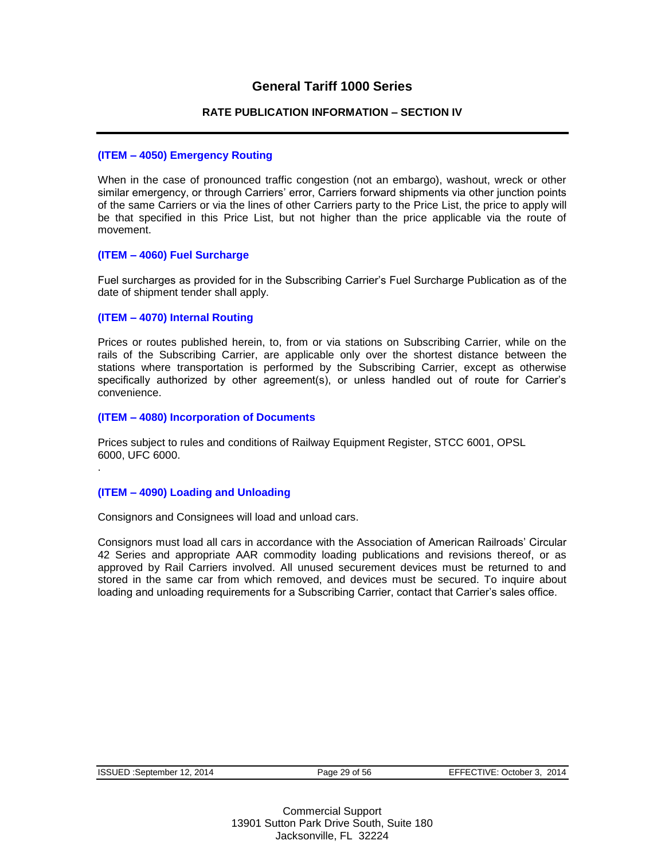#### **RATE PUBLICATION INFORMATION – SECTION IV**

#### **(ITEM – 4050) Emergency Routing**

When in the case of pronounced traffic congestion (not an embargo), washout, wreck or other similar emergency, or through Carriers' error, Carriers forward shipments via other junction points of the same Carriers or via the lines of other Carriers party to the Price List, the price to apply will be that specified in this Price List, but not higher than the price applicable via the route of movement.

#### **(ITEM – 4060) Fuel Surcharge**

Fuel surcharges as provided for in the Subscribing Carrier's Fuel Surcharge Publication as of the date of shipment tender shall apply.

#### **(ITEM – 4070) Internal Routing**

Prices or routes published herein, to, from or via stations on Subscribing Carrier, while on the rails of the Subscribing Carrier, are applicable only over the shortest distance between the stations where transportation is performed by the Subscribing Carrier, except as otherwise specifically authorized by other agreement(s), or unless handled out of route for Carrier's convenience.

#### **(ITEM – 4080) Incorporation of Documents**

Prices subject to rules and conditions of Railway Equipment Register, STCC 6001, OPSL 6000, UFC 6000.

#### **(ITEM – 4090) Loading and Unloading**

.

Consignors and Consignees will load and unload cars.

Consignors must load all cars in accordance with the Association of American Railroads' Circular 42 Series and appropriate AAR commodity loading publications and revisions thereof, or as approved by Rail Carriers involved. All unused securement devices must be returned to and stored in the same car from which removed, and devices must be secured. To inquire about loading and unloading requirements for a Subscribing Carrier, contact that Carrier's sales office.

| ISSUED:September 12, 2014 | Page 29 of 56 | EFFECTIVE: October 3, 2014 |
|---------------------------|---------------|----------------------------|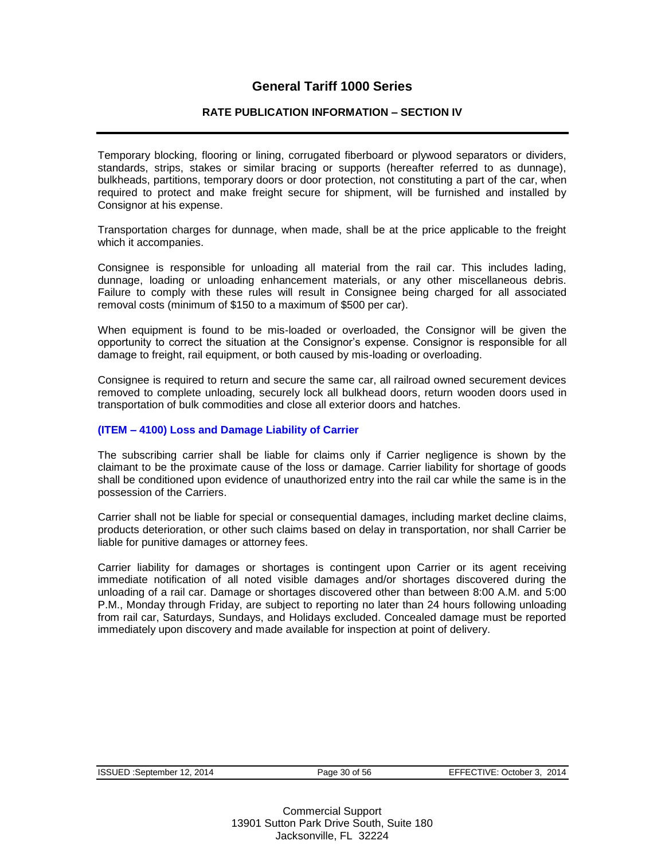## **RATE PUBLICATION INFORMATION – SECTION IV**

Temporary blocking, flooring or lining, corrugated fiberboard or plywood separators or dividers, standards, strips, stakes or similar bracing or supports (hereafter referred to as dunnage), bulkheads, partitions, temporary doors or door protection, not constituting a part of the car, when required to protect and make freight secure for shipment, will be furnished and installed by Consignor at his expense.

Transportation charges for dunnage, when made, shall be at the price applicable to the freight which it accompanies.

Consignee is responsible for unloading all material from the rail car. This includes lading, dunnage, loading or unloading enhancement materials, or any other miscellaneous debris. Failure to comply with these rules will result in Consignee being charged for all associated removal costs (minimum of \$150 to a maximum of \$500 per car).

When equipment is found to be mis-loaded or overloaded, the Consignor will be given the opportunity to correct the situation at the Consignor's expense. Consignor is responsible for all damage to freight, rail equipment, or both caused by mis-loading or overloading.

Consignee is required to return and secure the same car, all railroad owned securement devices removed to complete unloading, securely lock all bulkhead doors, return wooden doors used in transportation of bulk commodities and close all exterior doors and hatches.

#### **(ITEM – 4100) Loss and Damage Liability of Carrier**

The subscribing carrier shall be liable for claims only if Carrier negligence is shown by the claimant to be the proximate cause of the loss or damage. Carrier liability for shortage of goods shall be conditioned upon evidence of unauthorized entry into the rail car while the same is in the possession of the Carriers.

Carrier shall not be liable for special or consequential damages, including market decline claims, products deterioration, or other such claims based on delay in transportation, nor shall Carrier be liable for punitive damages or attorney fees.

Carrier liability for damages or shortages is contingent upon Carrier or its agent receiving immediate notification of all noted visible damages and/or shortages discovered during the unloading of a rail car. Damage or shortages discovered other than between 8:00 A.M. and 5:00 P.M., Monday through Friday, are subject to reporting no later than 24 hours following unloading from rail car, Saturdays, Sundays, and Holidays excluded. Concealed damage must be reported immediately upon discovery and made available for inspection at point of delivery.

| ISSUED:September 12, 2014 | Page 30 of 56 | EFFECTIVE: October 3, 2014 |
|---------------------------|---------------|----------------------------|
|                           |               |                            |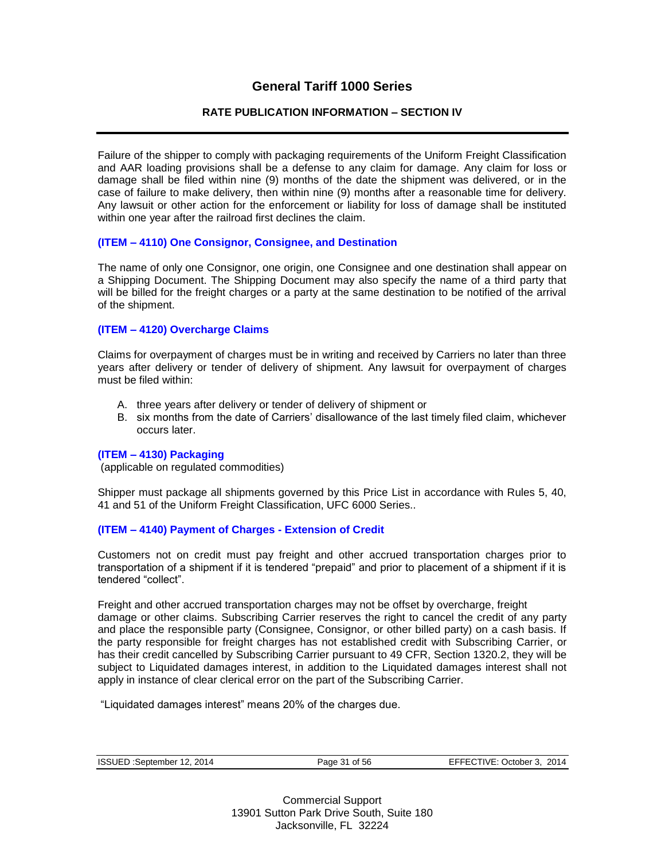### **RATE PUBLICATION INFORMATION – SECTION IV**

Failure of the shipper to comply with packaging requirements of the Uniform Freight Classification and AAR loading provisions shall be a defense to any claim for damage. Any claim for loss or damage shall be filed within nine (9) months of the date the shipment was delivered, or in the case of failure to make delivery, then within nine (9) months after a reasonable time for delivery. Any lawsuit or other action for the enforcement or liability for loss of damage shall be instituted within one year after the railroad first declines the claim.

#### **(ITEM – 4110) One Consignor, Consignee, and Destination**

The name of only one Consignor, one origin, one Consignee and one destination shall appear on a Shipping Document. The Shipping Document may also specify the name of a third party that will be billed for the freight charges or a party at the same destination to be notified of the arrival of the shipment.

#### **(ITEM – 4120) Overcharge Claims**

Claims for overpayment of charges must be in writing and received by Carriers no later than three years after delivery or tender of delivery of shipment. Any lawsuit for overpayment of charges must be filed within:

- A. three years after delivery or tender of delivery of shipment or
- B. six months from the date of Carriers' disallowance of the last timely filed claim, whichever occurs later.

#### **(ITEM – 4130) Packaging**

(applicable on regulated commodities)

Shipper must package all shipments governed by this Price List in accordance with Rules 5, 40, 41 and 51 of the Uniform Freight Classification, UFC 6000 Series..

#### **(ITEM – 4140) Payment of Charges - Extension of Credit**

Customers not on credit must pay freight and other accrued transportation charges prior to transportation of a shipment if it is tendered "prepaid" and prior to placement of a shipment if it is tendered "collect".

Freight and other accrued transportation charges may not be offset by overcharge, freight damage or other claims. Subscribing Carrier reserves the right to cancel the credit of any party and place the responsible party (Consignee, Consignor, or other billed party) on a cash basis. If the party responsible for freight charges has not established credit with Subscribing Carrier, or has their credit cancelled by Subscribing Carrier pursuant to 49 CFR, Section 1320.2, they will be subject to Liquidated damages interest, in addition to the Liquidated damages interest shall not apply in instance of clear clerical error on the part of the Subscribing Carrier.

"Liquidated damages interest" means 20% of the charges due.

|  | ISSUED:September 12, 2014 | Page 31 of 56 | EFFECTIVE: October 3, 2014 |
|--|---------------------------|---------------|----------------------------|
|--|---------------------------|---------------|----------------------------|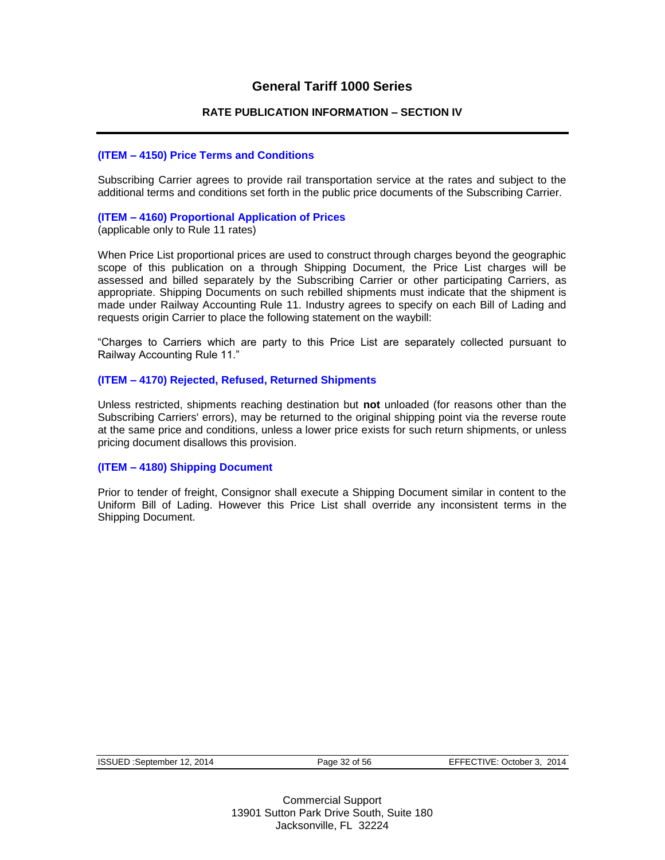## **RATE PUBLICATION INFORMATION – SECTION IV**

#### **(ITEM – 4150) Price Terms and Conditions**

Subscribing Carrier agrees to provide rail transportation service at the rates and subject to the additional terms and conditions set forth in the public price documents of the Subscribing Carrier.

#### **(ITEM – 4160) Proportional Application of Prices**

(applicable only to Rule 11 rates)

When Price List proportional prices are used to construct through charges beyond the geographic scope of this publication on a through Shipping Document, the Price List charges will be assessed and billed separately by the Subscribing Carrier or other participating Carriers, as appropriate. Shipping Documents on such rebilled shipments must indicate that the shipment is made under Railway Accounting Rule 11. Industry agrees to specify on each Bill of Lading and requests origin Carrier to place the following statement on the waybill:

"Charges to Carriers which are party to this Price List are separately collected pursuant to Railway Accounting Rule 11."

#### **(ITEM – 4170) Rejected, Refused, Returned Shipments**

Unless restricted, shipments reaching destination but **not** unloaded (for reasons other than the Subscribing Carriers' errors), may be returned to the original shipping point via the reverse route at the same price and conditions, unless a lower price exists for such return shipments, or unless pricing document disallows this provision.

#### **(ITEM – 4180) Shipping Document**

Prior to tender of freight, Consignor shall execute a Shipping Document similar in content to the Uniform Bill of Lading. However this Price List shall override any inconsistent terms in the Shipping Document.

| ISSUED:September 12, 2014 |  |
|---------------------------|--|
|                           |  |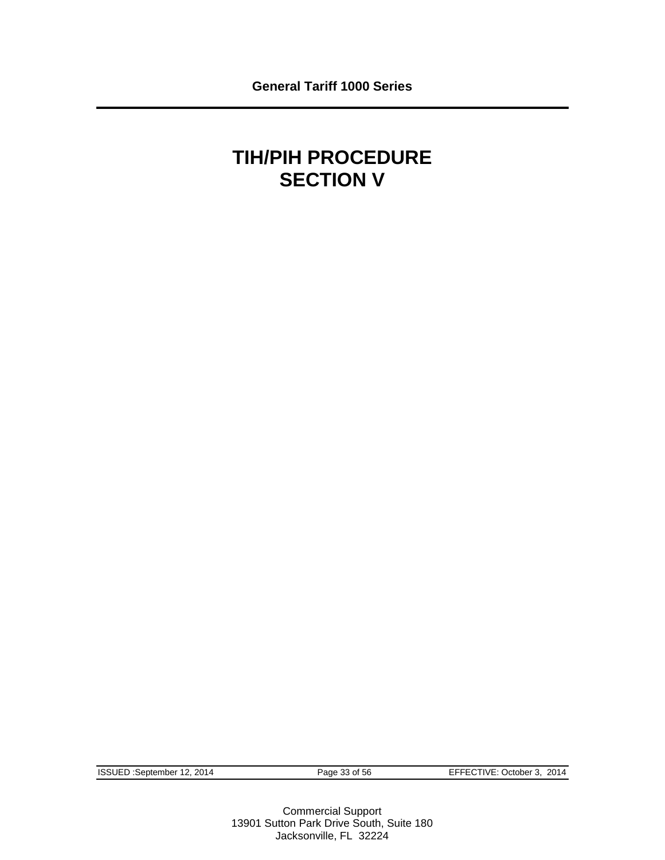# **TIH/PIH PROCEDURE SECTION V**

ISSUED :September 12, 2014 Page 33 of 56 EFFECTIVE: October 3, 2014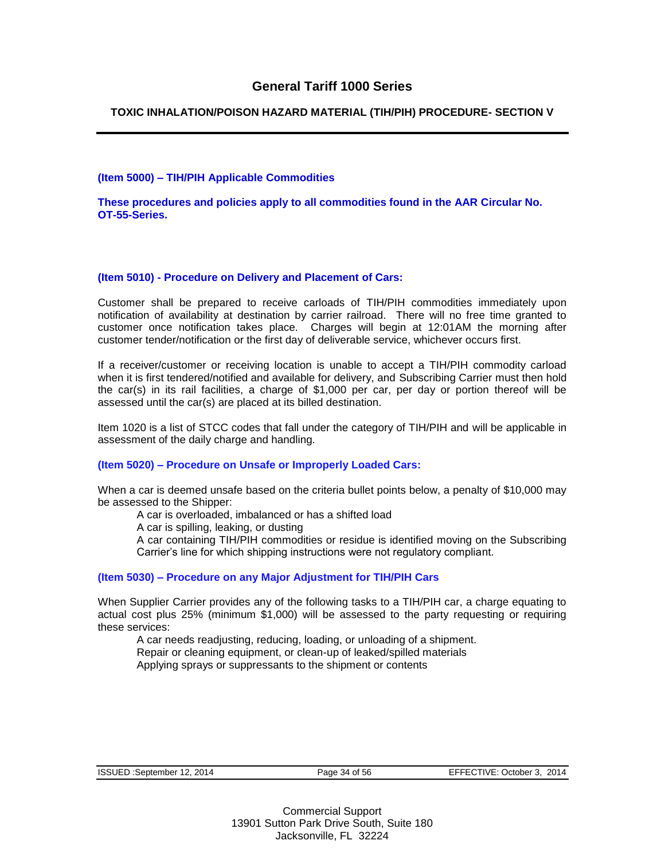## **TOXIC INHALATION/POISON HAZARD MATERIAL (TIH/PIH) PROCEDURE- SECTION V**

#### **(Item 5000) – TIH/PIH Applicable Commodities**

**These procedures and policies apply to all commodities found in the AAR Circular No. OT-55-Series.**

#### **(Item 5010) - Procedure on Delivery and Placement of Cars:**

Customer shall be prepared to receive carloads of TIH/PIH commodities immediately upon notification of availability at destination by carrier railroad. There will no free time granted to customer once notification takes place. Charges will begin at 12:01AM the morning after customer tender/notification or the first day of deliverable service, whichever occurs first.

If a receiver/customer or receiving location is unable to accept a TIH/PIH commodity carload when it is first tendered/notified and available for delivery, and Subscribing Carrier must then hold the car(s) in its rail facilities, a charge of \$1,000 per car, per day or portion thereof will be assessed until the car(s) are placed at its billed destination.

Item 1020 is a list of STCC codes that fall under the category of TIH/PIH and will be applicable in assessment of the daily charge and handling.

#### **(Item 5020) – Procedure on Unsafe or Improperly Loaded Cars:**

When a car is deemed unsafe based on the criteria bullet points below, a penalty of \$10,000 may be assessed to the Shipper:

A car is overloaded, imbalanced or has a shifted load

A car is spilling, leaking, or dusting

A car containing TIH/PIH commodities or residue is identified moving on the Subscribing Carrier's line for which shipping instructions were not regulatory compliant.

#### **(Item 5030) – Procedure on any Major Adjustment for TIH/PIH Cars**

When Supplier Carrier provides any of the following tasks to a TIH/PIH car, a charge equating to actual cost plus 25% (minimum \$1,000) will be assessed to the party requesting or requiring these services:

A car needs readjusting, reducing, loading, or unloading of a shipment.

Repair or cleaning equipment, or clean-up of leaked/spilled materials

Applying sprays or suppressants to the shipment or contents

| ISSUED:September 12, 2014 | Page 34 of 56 | EFFECTIVE: October 3, 2014 |
|---------------------------|---------------|----------------------------|
|                           |               |                            |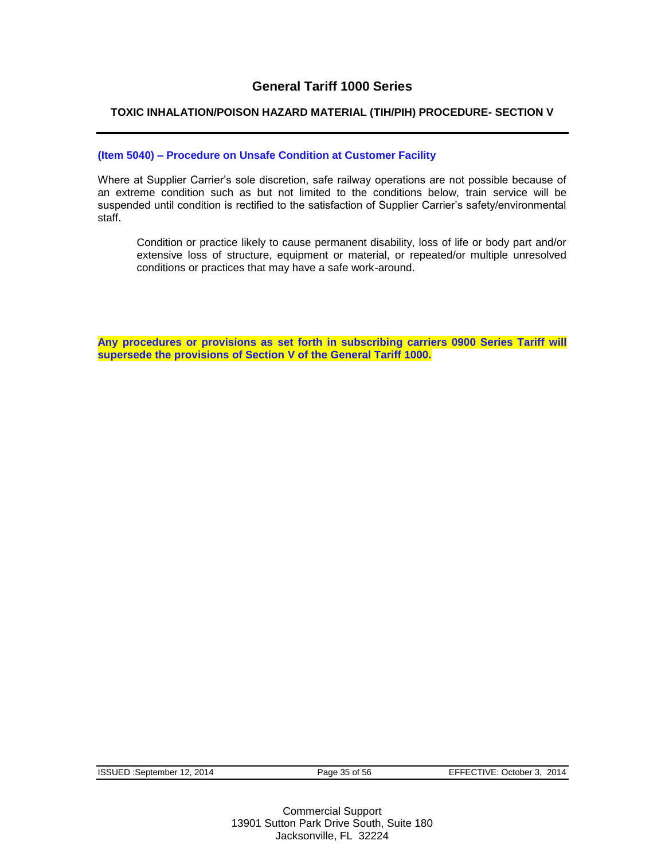## **TOXIC INHALATION/POISON HAZARD MATERIAL (TIH/PIH) PROCEDURE- SECTION V**

#### **(Item 5040) – Procedure on Unsafe Condition at Customer Facility**

Where at Supplier Carrier's sole discretion, safe railway operations are not possible because of an extreme condition such as but not limited to the conditions below, train service will be suspended until condition is rectified to the satisfaction of Supplier Carrier's safety/environmental staff.

Condition or practice likely to cause permanent disability, loss of life or body part and/or extensive loss of structure, equipment or material, or repeated/or multiple unresolved conditions or practices that may have a safe work-around.

**Any procedures or provisions as set forth in subscribing carriers 0900 Series Tariff will supersede the provisions of Section V of the General Tariff 1000.**

| ISSUED:September 12, 2014 |  |
|---------------------------|--|
|                           |  |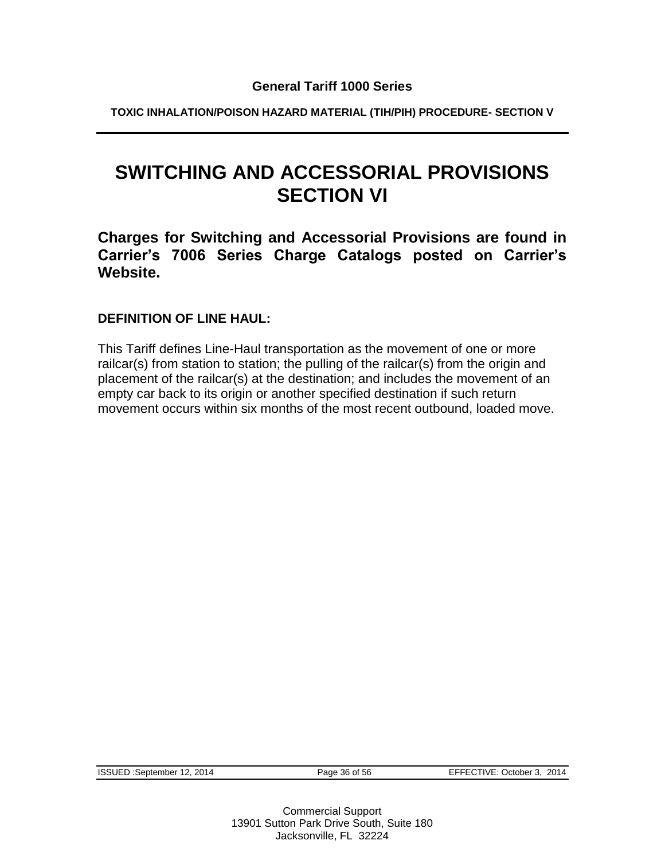**TOXIC INHALATION/POISON HAZARD MATERIAL (TIH/PIH) PROCEDURE- SECTION V**

# **SWITCHING AND ACCESSORIAL PROVISIONS SECTION VI**

**Charges for Switching and Accessorial Provisions are found in Carrier's 7006 Series Charge Catalogs posted on Carrier's Website.**

# **DEFINITION OF LINE HAUL:**

This Tariff defines Line-Haul transportation as the movement of one or more railcar(s) from station to station; the pulling of the railcar(s) from the origin and placement of the railcar(s) at the destination; and includes the movement of an empty car back to its origin or another specified destination if such return movement occurs within six months of the most recent outbound, loaded move.

| <b>ISSUED</b><br>2014<br>:September:<br>12. | 36 of 56<br>Page | ™F (<br>2014<br>October 3. |
|---------------------------------------------|------------------|----------------------------|
|                                             |                  |                            |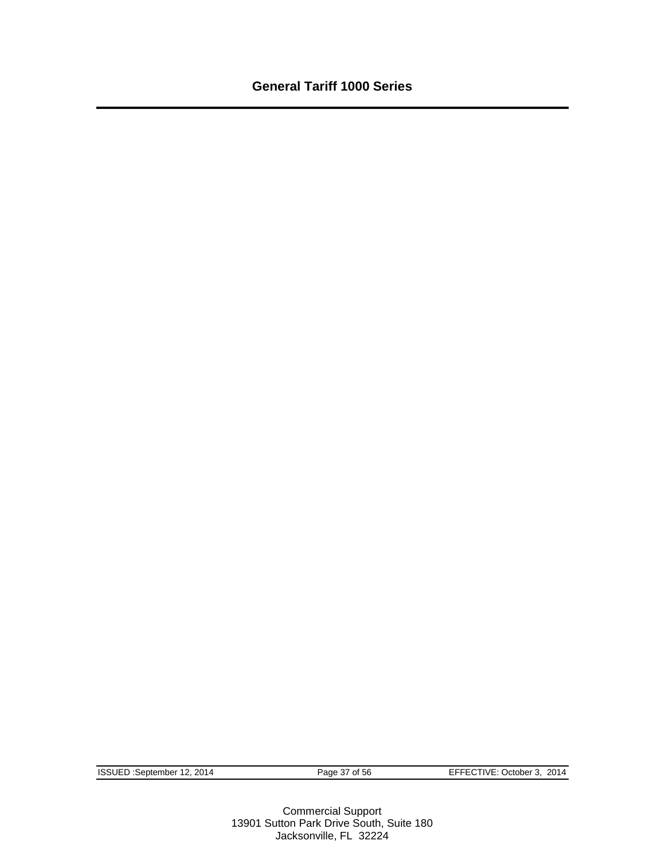| ISSUED:September 12, 2014 |  |
|---------------------------|--|
|                           |  |

Page 37 of 56 EFFECTIVE: October 3, 2014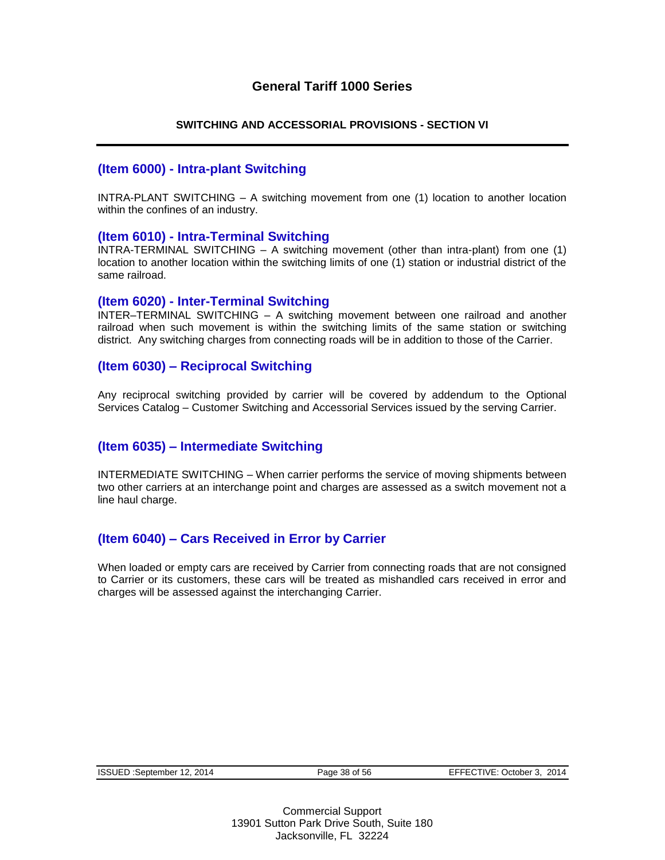## **SWITCHING AND ACCESSORIAL PROVISIONS - SECTION VI**

## **(Item 6000) - Intra-plant Switching**

INTRA-PLANT SWITCHING – A switching movement from one (1) location to another location within the confines of an industry.

### **(Item 6010) - Intra-Terminal Switching**

INTRA-TERMINAL SWITCHING – A switching movement (other than intra-plant) from one (1) location to another location within the switching limits of one (1) station or industrial district of the same railroad.

### **(Item 6020) - Inter-Terminal Switching**

INTER–TERMINAL SWITCHING – A switching movement between one railroad and another railroad when such movement is within the switching limits of the same station or switching district. Any switching charges from connecting roads will be in addition to those of the Carrier.

## **(Item 6030) – Reciprocal Switching**

Any reciprocal switching provided by carrier will be covered by addendum to the Optional Services Catalog – Customer Switching and Accessorial Services issued by the serving Carrier.

## **(Item 6035) – Intermediate Switching**

INTERMEDIATE SWITCHING – When carrier performs the service of moving shipments between two other carriers at an interchange point and charges are assessed as a switch movement not a line haul charge.

## **(Item 6040) – Cars Received in Error by Carrier**

When loaded or empty cars are received by Carrier from connecting roads that are not consigned to Carrier or its customers, these cars will be treated as mishandled cars received in error and charges will be assessed against the interchanging Carrier.

| Page 38 of 56 | EFFECTIVE: October 3, 2014 |
|---------------|----------------------------|
|               |                            |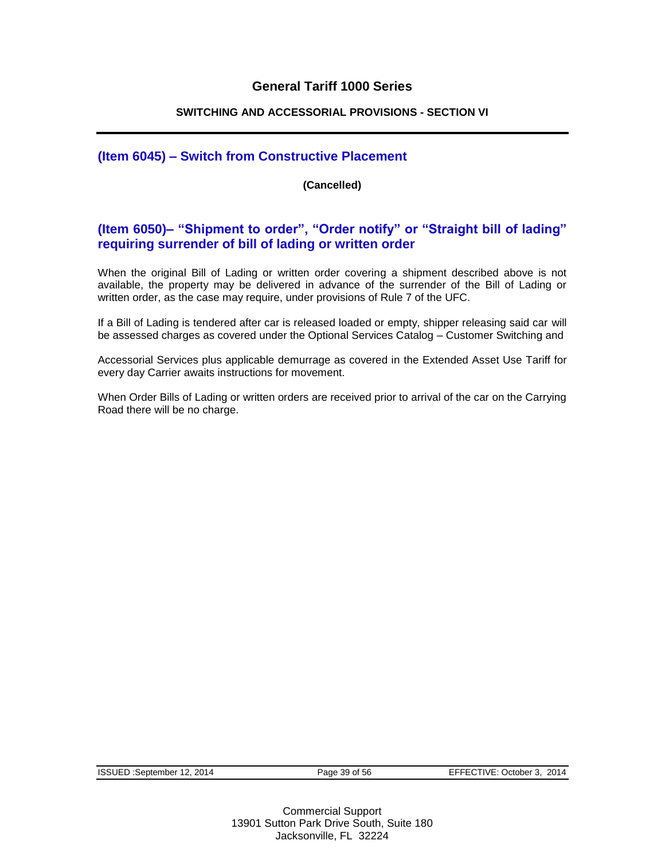## **SWITCHING AND ACCESSORIAL PROVISIONS - SECTION VI**

# **(Item 6045) – Switch from Constructive Placement**

## **(Cancelled)**

# **(Item 6050)– "Shipment to order", "Order notify" or "Straight bill of lading" requiring surrender of bill of lading or written order**

When the original Bill of Lading or written order covering a shipment described above is not available, the property may be delivered in advance of the surrender of the Bill of Lading or written order, as the case may require, under provisions of Rule 7 of the UFC.

If a Bill of Lading is tendered after car is released loaded or empty, shipper releasing said car will be assessed charges as covered under the Optional Services Catalog – Customer Switching and

Accessorial Services plus applicable demurrage as covered in the Extended Asset Use Tariff for every day Carrier awaits instructions for movement.

When Order Bills of Lading or written orders are received prior to arrival of the car on the Carrying Road there will be no charge.

| ISSUED:September 12, 2014 | Page 39 of 56 | EFFECTIVE: October 3, 2014 |
|---------------------------|---------------|----------------------------|
|                           |               |                            |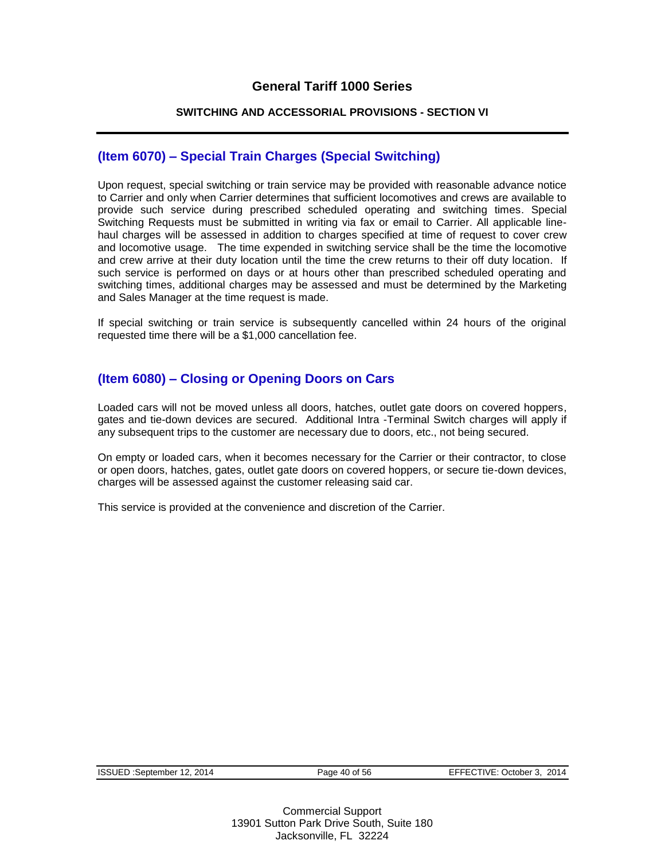#### **SWITCHING AND ACCESSORIAL PROVISIONS - SECTION VI**

# **(Item 6070) – Special Train Charges (Special Switching)**

Upon request, special switching or train service may be provided with reasonable advance notice to Carrier and only when Carrier determines that sufficient locomotives and crews are available to provide such service during prescribed scheduled operating and switching times. Special Switching Requests must be submitted in writing via fax or email to Carrier. All applicable linehaul charges will be assessed in addition to charges specified at time of request to cover crew and locomotive usage. The time expended in switching service shall be the time the locomotive and crew arrive at their duty location until the time the crew returns to their off duty location. If such service is performed on days or at hours other than prescribed scheduled operating and switching times, additional charges may be assessed and must be determined by the Marketing and Sales Manager at the time request is made.

If special switching or train service is subsequently cancelled within 24 hours of the original requested time there will be a \$1,000 cancellation fee.

## **(Item 6080) – Closing or Opening Doors on Cars**

Loaded cars will not be moved unless all doors, hatches, outlet gate doors on covered hoppers, gates and tie-down devices are secured. Additional Intra -Terminal Switch charges will apply if any subsequent trips to the customer are necessary due to doors, etc., not being secured.

On empty or loaded cars, when it becomes necessary for the Carrier or their contractor, to close or open doors, hatches, gates, outlet gate doors on covered hoppers, or secure tie-down devices, charges will be assessed against the customer releasing said car.

This service is provided at the convenience and discretion of the Carrier.

|--|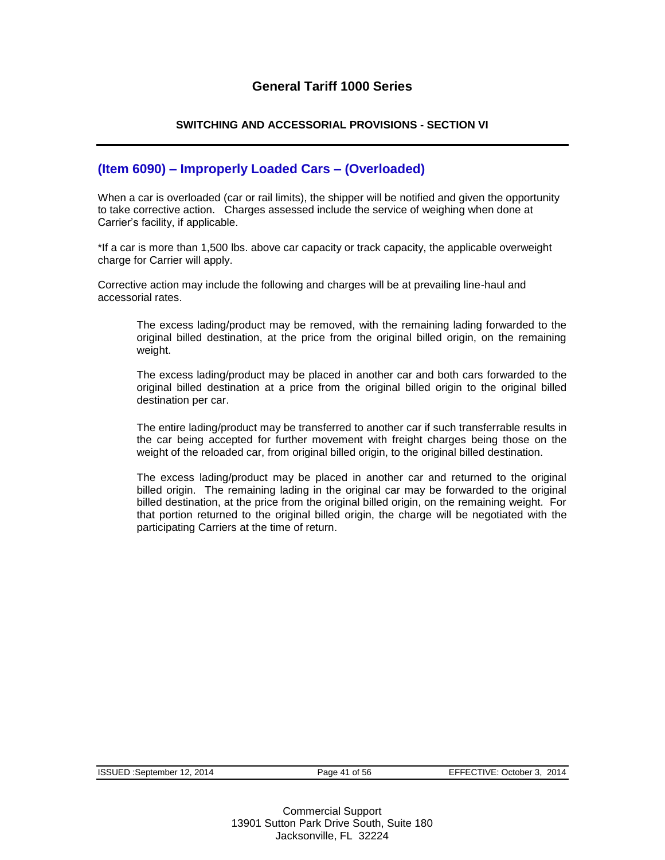## **SWITCHING AND ACCESSORIAL PROVISIONS - SECTION VI**

# **(Item 6090) – Improperly Loaded Cars – (Overloaded)**

When a car is overloaded (car or rail limits), the shipper will be notified and given the opportunity to take corrective action. Charges assessed include the service of weighing when done at Carrier's facility, if applicable.

\*If a car is more than 1,500 lbs. above car capacity or track capacity, the applicable overweight charge for Carrier will apply.

Corrective action may include the following and charges will be at prevailing line-haul and accessorial rates.

The excess lading/product may be removed, with the remaining lading forwarded to the original billed destination, at the price from the original billed origin, on the remaining weight.

The excess lading/product may be placed in another car and both cars forwarded to the original billed destination at a price from the original billed origin to the original billed destination per car.

The entire lading/product may be transferred to another car if such transferrable results in the car being accepted for further movement with freight charges being those on the weight of the reloaded car, from original billed origin, to the original billed destination.

The excess lading/product may be placed in another car and returned to the original billed origin. The remaining lading in the original car may be forwarded to the original billed destination, at the price from the original billed origin, on the remaining weight. For that portion returned to the original billed origin, the charge will be negotiated with the participating Carriers at the time of return.

| ISSUED:September 12, 2014 | Page 41 of 56 | EFFECTIVE: October 3, 2014 |
|---------------------------|---------------|----------------------------|
|                           |               |                            |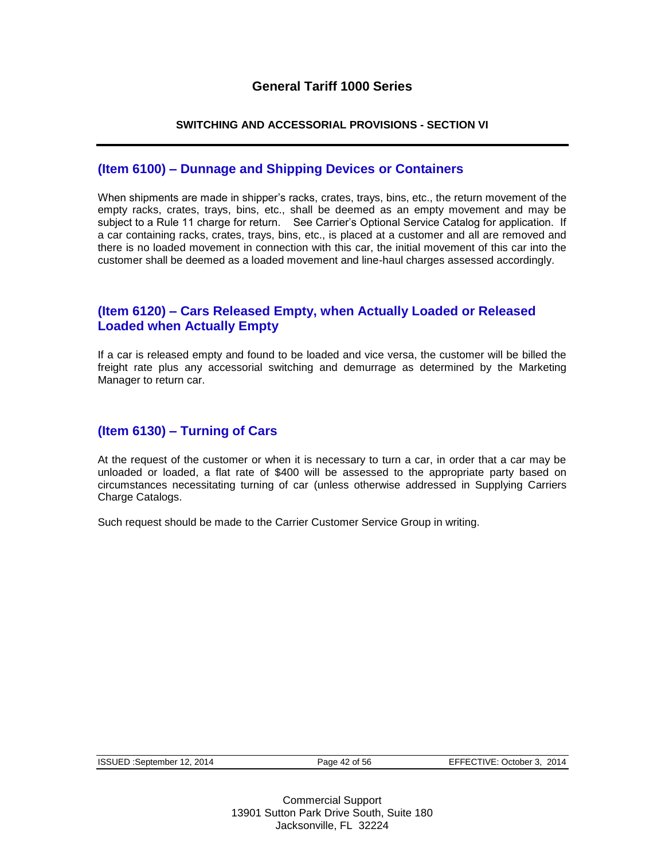## **SWITCHING AND ACCESSORIAL PROVISIONS - SECTION VI**

# **(Item 6100) – Dunnage and Shipping Devices or Containers**

When shipments are made in shipper's racks, crates, trays, bins, etc., the return movement of the empty racks, crates, trays, bins, etc., shall be deemed as an empty movement and may be subject to a Rule 11 charge for return. See Carrier's Optional Service Catalog for application. If a car containing racks, crates, trays, bins, etc., is placed at a customer and all are removed and there is no loaded movement in connection with this car, the initial movement of this car into the customer shall be deemed as a loaded movement and line-haul charges assessed accordingly.

# **(Item 6120) – Cars Released Empty, when Actually Loaded or Released Loaded when Actually Empty**

If a car is released empty and found to be loaded and vice versa, the customer will be billed the freight rate plus any accessorial switching and demurrage as determined by the Marketing Manager to return car.

# **(Item 6130) – Turning of Cars**

At the request of the customer or when it is necessary to turn a car, in order that a car may be unloaded or loaded, a flat rate of \$400 will be assessed to the appropriate party based on circumstances necessitating turning of car (unless otherwise addressed in Supplying Carriers Charge Catalogs.

Such request should be made to the Carrier Customer Service Group in writing.

| ISSUED:September 12, 2014 | Page 42 of 56 | EFFECTIVE: October 3, 2014 |
|---------------------------|---------------|----------------------------|
|                           |               |                            |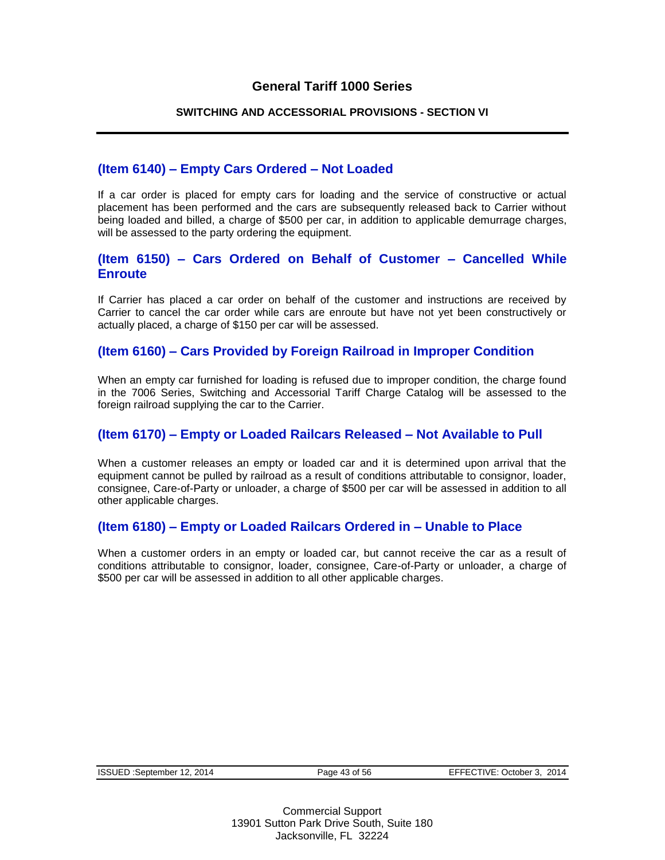## **SWITCHING AND ACCESSORIAL PROVISIONS - SECTION VI**

## **(Item 6140) – Empty Cars Ordered – Not Loaded**

If a car order is placed for empty cars for loading and the service of constructive or actual placement has been performed and the cars are subsequently released back to Carrier without being loaded and billed, a charge of \$500 per car, in addition to applicable demurrage charges, will be assessed to the party ordering the equipment.

## **(Item 6150) – Cars Ordered on Behalf of Customer – Cancelled While Enroute**

If Carrier has placed a car order on behalf of the customer and instructions are received by Carrier to cancel the car order while cars are enroute but have not yet been constructively or actually placed, a charge of \$150 per car will be assessed.

## **(Item 6160) – Cars Provided by Foreign Railroad in Improper Condition**

When an empty car furnished for loading is refused due to improper condition, the charge found in the 7006 Series, Switching and Accessorial Tariff Charge Catalog will be assessed to the foreign railroad supplying the car to the Carrier.

## **(Item 6170) – Empty or Loaded Railcars Released – Not Available to Pull**

When a customer releases an empty or loaded car and it is determined upon arrival that the equipment cannot be pulled by railroad as a result of conditions attributable to consignor, loader, consignee, Care-of-Party or unloader, a charge of \$500 per car will be assessed in addition to all other applicable charges.

## **(Item 6180) – Empty or Loaded Railcars Ordered in – Unable to Place**

When a customer orders in an empty or loaded car, but cannot receive the car as a result of conditions attributable to consignor, loader, consignee, Care-of-Party or unloader, a charge of \$500 per car will be assessed in addition to all other applicable charges.

| Page 43 of 56 | EFFECTIVE: October 3, 2014 |
|---------------|----------------------------|
|               |                            |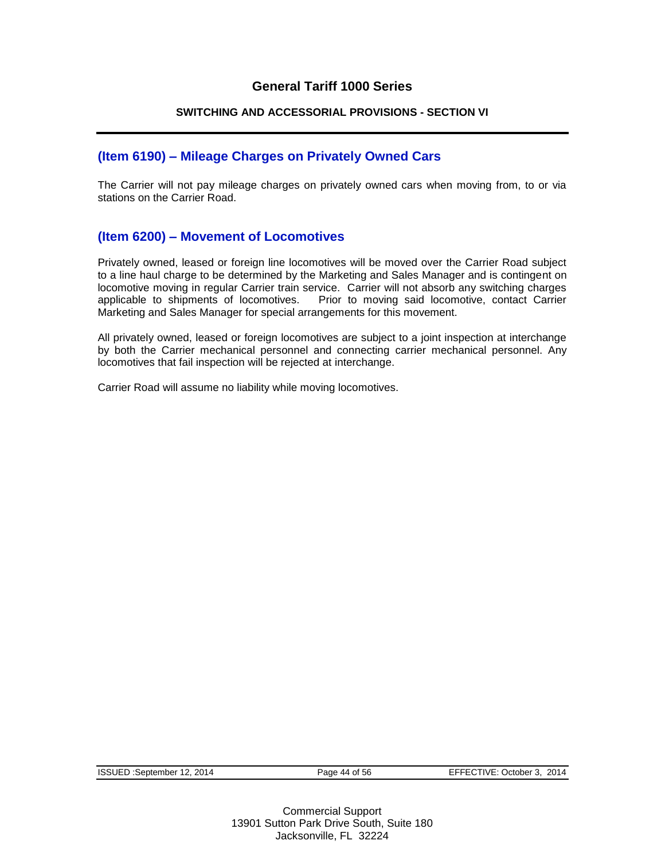### **SWITCHING AND ACCESSORIAL PROVISIONS - SECTION VI**

## **(Item 6190) – Mileage Charges on Privately Owned Cars**

The Carrier will not pay mileage charges on privately owned cars when moving from, to or via stations on the Carrier Road.

## **(Item 6200) – Movement of Locomotives**

Privately owned, leased or foreign line locomotives will be moved over the Carrier Road subject to a line haul charge to be determined by the Marketing and Sales Manager and is contingent on locomotive moving in regular Carrier train service. Carrier will not absorb any switching charges applicable to shipments of locomotives. Prior to moving said locomotive, contact Carrier Prior to moving said locomotive, contact Carrier Marketing and Sales Manager for special arrangements for this movement.

All privately owned, leased or foreign locomotives are subject to a joint inspection at interchange by both the Carrier mechanical personnel and connecting carrier mechanical personnel. Any locomotives that fail inspection will be rejected at interchange.

Carrier Road will assume no liability while moving locomotives.

| Page 44 of 56 | EFFECTIVE: October 3, 2014 |
|---------------|----------------------------|
|               |                            |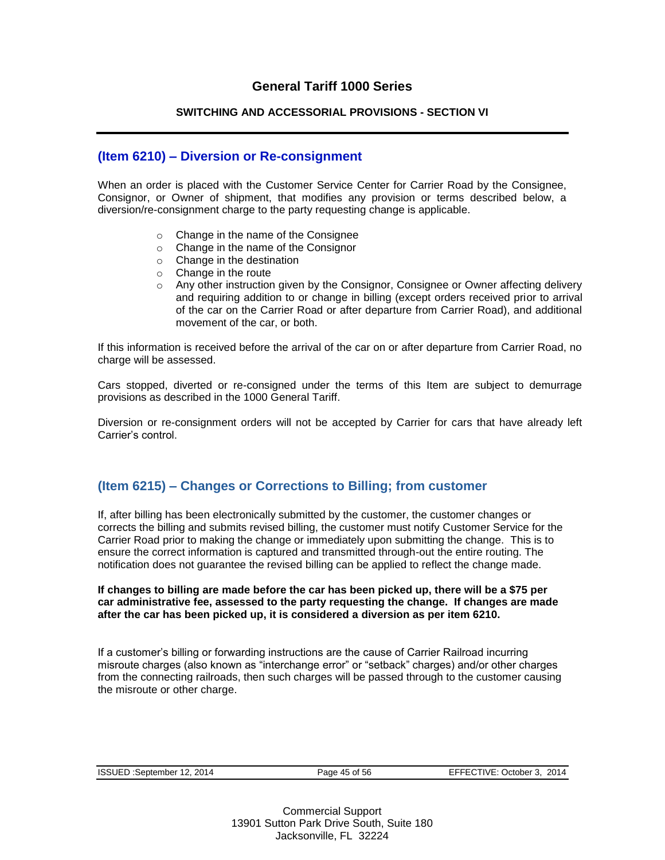### **SWITCHING AND ACCESSORIAL PROVISIONS - SECTION VI**

## **(Item 6210) – Diversion or Re-consignment**

When an order is placed with the Customer Service Center for Carrier Road by the Consignee, Consignor, or Owner of shipment, that modifies any provision or terms described below, a diversion/re-consignment charge to the party requesting change is applicable.

- o Change in the name of the Consignee
- o Change in the name of the Consignor
- o Change in the destination
- o Change in the route
- o Any other instruction given by the Consignor, Consignee or Owner affecting delivery and requiring addition to or change in billing (except orders received prior to arrival of the car on the Carrier Road or after departure from Carrier Road), and additional movement of the car, or both.

If this information is received before the arrival of the car on or after departure from Carrier Road, no charge will be assessed.

Cars stopped, diverted or re-consigned under the terms of this Item are subject to demurrage provisions as described in the 1000 General Tariff.

Diversion or re-consignment orders will not be accepted by Carrier for cars that have already left Carrier's control.

## **(Item 6215) – Changes or Corrections to Billing; from customer**

If, after billing has been electronically submitted by the customer, the customer changes or corrects the billing and submits revised billing, the customer must notify Customer Service for the Carrier Road prior to making the change or immediately upon submitting the change. This is to ensure the correct information is captured and transmitted through-out the entire routing. The notification does not guarantee the revised billing can be applied to reflect the change made.

#### **If changes to billing are made before the car has been picked up, there will be a \$75 per car administrative fee, assessed to the party requesting the change. If changes are made after the car has been picked up, it is considered a diversion as per item 6210.**

If a customer's billing or forwarding instructions are the cause of Carrier Railroad incurring misroute charges (also known as "interchange error" or "setback" charges) and/or other charges from the connecting railroads, then such charges will be passed through to the customer causing the misroute or other charge.

| ISSUED:September 12, 2014 | Page 45 of 56 | EFFECTIVE: October 3, 2014 |
|---------------------------|---------------|----------------------------|
|                           |               |                            |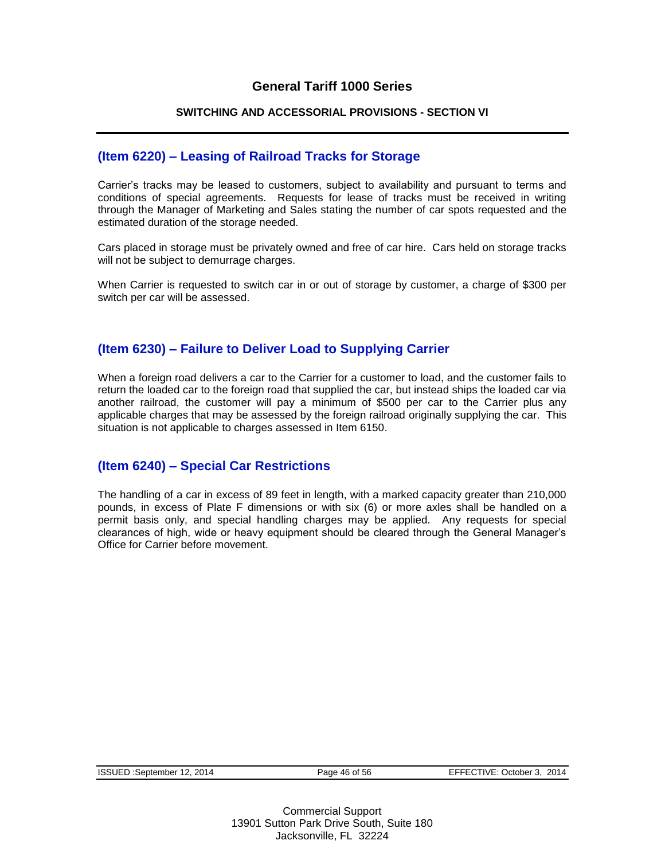#### **SWITCHING AND ACCESSORIAL PROVISIONS - SECTION VI**

# **(Item 6220) – Leasing of Railroad Tracks for Storage**

Carrier's tracks may be leased to customers, subject to availability and pursuant to terms and conditions of special agreements. Requests for lease of tracks must be received in writing through the Manager of Marketing and Sales stating the number of car spots requested and the estimated duration of the storage needed.

Cars placed in storage must be privately owned and free of car hire. Cars held on storage tracks will not be subject to demurrage charges.

When Carrier is requested to switch car in or out of storage by customer, a charge of \$300 per switch per car will be assessed.

## **(Item 6230) – Failure to Deliver Load to Supplying Carrier**

When a foreign road delivers a car to the Carrier for a customer to load, and the customer fails to return the loaded car to the foreign road that supplied the car, but instead ships the loaded car via another railroad, the customer will pay a minimum of \$500 per car to the Carrier plus any applicable charges that may be assessed by the foreign railroad originally supplying the car. This situation is not applicable to charges assessed in Item 6150.

## **(Item 6240) – Special Car Restrictions**

The handling of a car in excess of 89 feet in length, with a marked capacity greater than 210,000 pounds, in excess of Plate F dimensions or with six (6) or more axles shall be handled on a permit basis only, and special handling charges may be applied. Any requests for special clearances of high, wide or heavy equipment should be cleared through the General Manager's Office for Carrier before movement.

| ISSUED:September 12, 2014 | of 56<br>Page 46 | : TIVE:<br>2014<br>October 3.<br>⊺FFF( |
|---------------------------|------------------|----------------------------------------|
|                           |                  |                                        |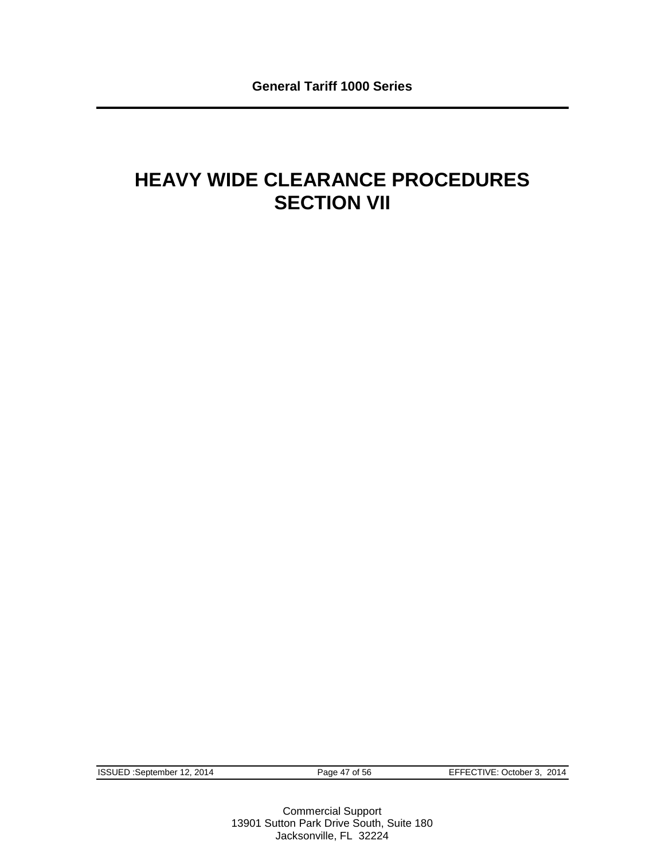# **HEAVY WIDE CLEARANCE PROCEDURES SECTION VII**

ISSUED :September 12, 2014 Page 47 of 56 EFFECTIVE: October 3, 2014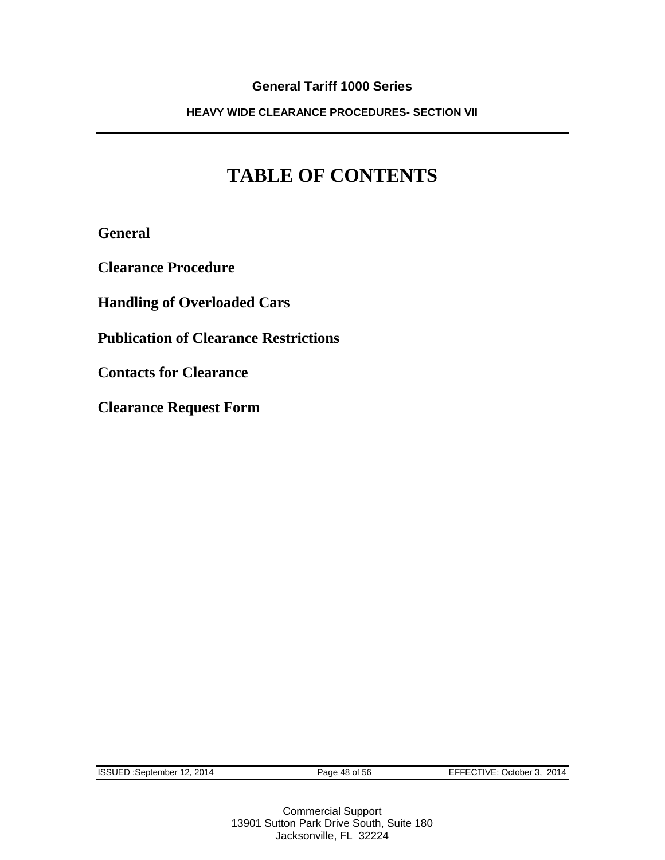# **HEAVY WIDE CLEARANCE PROCEDURES- SECTION VII**

# **TABLE OF CONTENTS**

**General**

**Clearance Procedure**

**Handling of Overloaded Cars**

**Publication of Clearance Restrictions**

**Contacts for Clearance**

**Clearance Request Form**

|  | ISSUED:September 12, 2014 | Page 48 of 56 | EFFECTIVE: October 3, 2014 |
|--|---------------------------|---------------|----------------------------|
|--|---------------------------|---------------|----------------------------|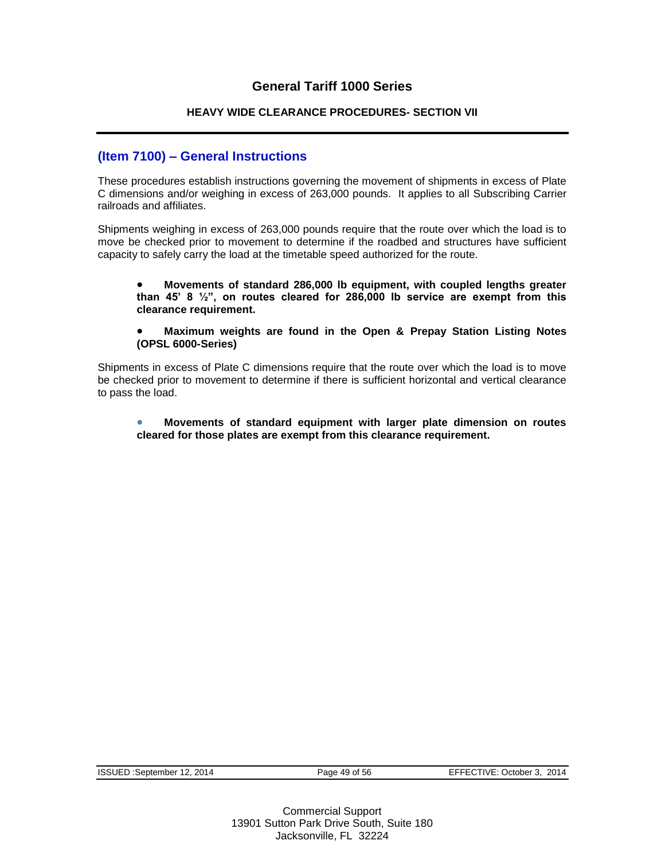#### **HEAVY WIDE CLEARANCE PROCEDURES- SECTION VII**

## **(Item 7100) – General Instructions**

These procedures establish instructions governing the movement of shipments in excess of Plate C dimensions and/or weighing in excess of 263,000 pounds. It applies to all Subscribing Carrier railroads and affiliates.

Shipments weighing in excess of 263,000 pounds require that the route over which the load is to move be checked prior to movement to determine if the roadbed and structures have sufficient capacity to safely carry the load at the timetable speed authorized for the route.

#### **Movements of standard 286,000 lb equipment, with coupled lengths greater than 45' 8 ½", on routes cleared for 286,000 lb service are exempt from this clearance requirement.**

#### **Maximum weights are found in the Open & Prepay Station Listing Notes (OPSL 6000-Series)**

Shipments in excess of Plate C dimensions require that the route over which the load is to move be checked prior to movement to determine if there is sufficient horizontal and vertical clearance to pass the load.

#### **Movements of standard equipment with larger plate dimension on routes cleared for those plates are exempt from this clearance requirement.**

| ISSUED:September 12, 2014 | Page 49 of 56 | EFFECTIVE: October 3, 2014 |
|---------------------------|---------------|----------------------------|
|                           |               |                            |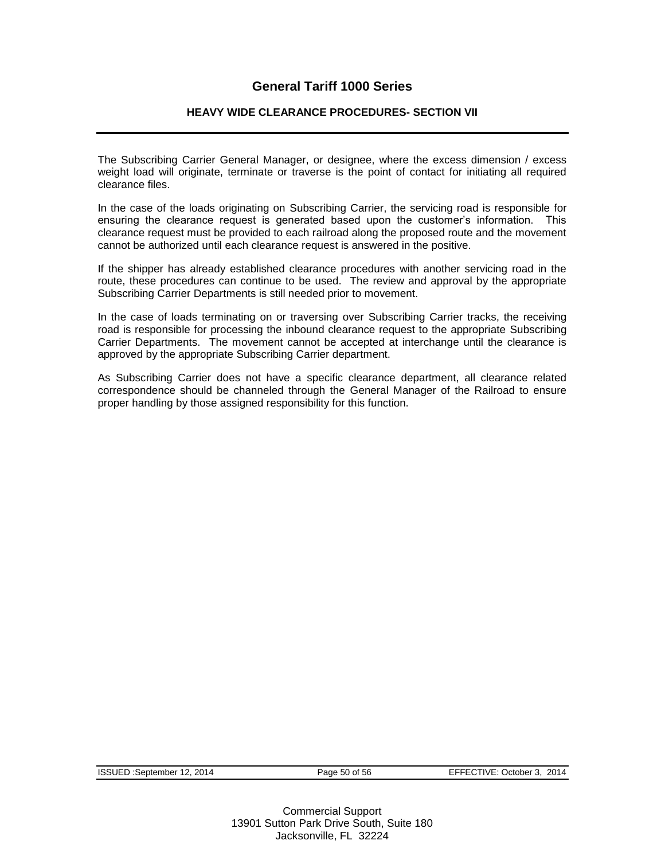#### **HEAVY WIDE CLEARANCE PROCEDURES- SECTION VII**

The Subscribing Carrier General Manager, or designee, where the excess dimension / excess weight load will originate, terminate or traverse is the point of contact for initiating all required clearance files.

In the case of the loads originating on Subscribing Carrier, the servicing road is responsible for ensuring the clearance request is generated based upon the customer's information. This clearance request must be provided to each railroad along the proposed route and the movement cannot be authorized until each clearance request is answered in the positive.

If the shipper has already established clearance procedures with another servicing road in the route, these procedures can continue to be used. The review and approval by the appropriate Subscribing Carrier Departments is still needed prior to movement.

In the case of loads terminating on or traversing over Subscribing Carrier tracks, the receiving road is responsible for processing the inbound clearance request to the appropriate Subscribing Carrier Departments. The movement cannot be accepted at interchange until the clearance is approved by the appropriate Subscribing Carrier department.

As Subscribing Carrier does not have a specific clearance department, all clearance related correspondence should be channeled through the General Manager of the Railroad to ensure proper handling by those assigned responsibility for this function.

| ISSUED:September 12, 2014 | Page 50 of 56 | EFFECTIVE: October 3, 2014 |
|---------------------------|---------------|----------------------------|
|                           |               |                            |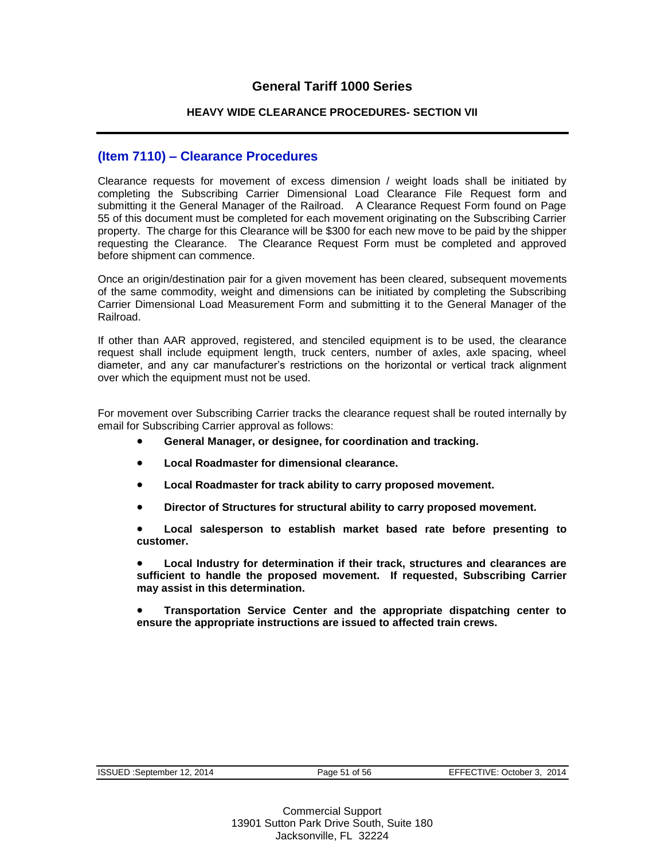#### **HEAVY WIDE CLEARANCE PROCEDURES- SECTION VII**

## **(Item 7110) – Clearance Procedures**

Clearance requests for movement of excess dimension / weight loads shall be initiated by completing the Subscribing Carrier Dimensional Load Clearance File Request form and submitting it the General Manager of the Railroad. A Clearance Request Form found on Page 55 of this document must be completed for each movement originating on the Subscribing Carrier property. The charge for this Clearance will be \$300 for each new move to be paid by the shipper requesting the Clearance. The Clearance Request Form must be completed and approved before shipment can commence.

Once an origin/destination pair for a given movement has been cleared, subsequent movements of the same commodity, weight and dimensions can be initiated by completing the Subscribing Carrier Dimensional Load Measurement Form and submitting it to the General Manager of the Railroad.

If other than AAR approved, registered, and stenciled equipment is to be used, the clearance request shall include equipment length, truck centers, number of axles, axle spacing, wheel diameter, and any car manufacturer's restrictions on the horizontal or vertical track alignment over which the equipment must not be used.

For movement over Subscribing Carrier tracks the clearance request shall be routed internally by email for Subscribing Carrier approval as follows:

- **General Manager, or designee, for coordination and tracking.**
- **Local Roadmaster for dimensional clearance.**
- **Local Roadmaster for track ability to carry proposed movement.**
- **Director of Structures for structural ability to carry proposed movement.**

 **Local salesperson to establish market based rate before presenting to customer.**

 **Local Industry for determination if their track, structures and clearances are sufficient to handle the proposed movement. If requested, Subscribing Carrier may assist in this determination.**

 **Transportation Service Center and the appropriate dispatching center to ensure the appropriate instructions are issued to affected train crews.**

| ISSUED:September 12, 2014 | Page 51 of 56 | EFFECTIVE: October 3, 2014 |
|---------------------------|---------------|----------------------------|
|                           |               |                            |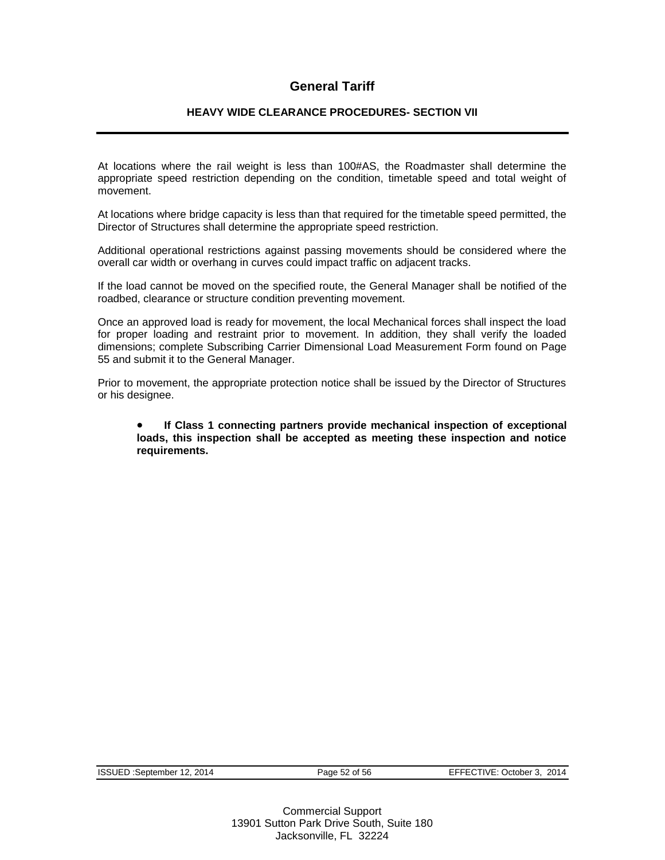## **General Tariff**

#### **HEAVY WIDE CLEARANCE PROCEDURES- SECTION VII**

At locations where the rail weight is less than 100#AS, the Roadmaster shall determine the appropriate speed restriction depending on the condition, timetable speed and total weight of movement.

At locations where bridge capacity is less than that required for the timetable speed permitted, the Director of Structures shall determine the appropriate speed restriction.

Additional operational restrictions against passing movements should be considered where the overall car width or overhang in curves could impact traffic on adjacent tracks.

If the load cannot be moved on the specified route, the General Manager shall be notified of the roadbed, clearance or structure condition preventing movement.

Once an approved load is ready for movement, the local Mechanical forces shall inspect the load for proper loading and restraint prior to movement. In addition, they shall verify the loaded dimensions; complete Subscribing Carrier Dimensional Load Measurement Form found on Page 55 and submit it to the General Manager.

Prior to movement, the appropriate protection notice shall be issued by the Director of Structures or his designee.

#### **If Class 1 connecting partners provide mechanical inspection of exceptional loads, this inspection shall be accepted as meeting these inspection and notice requirements.**

| ISSUED:September 12, 2014 | Page 52 of 56 | EFFECTIVE: October 3, 2014 |
|---------------------------|---------------|----------------------------|
|                           |               |                            |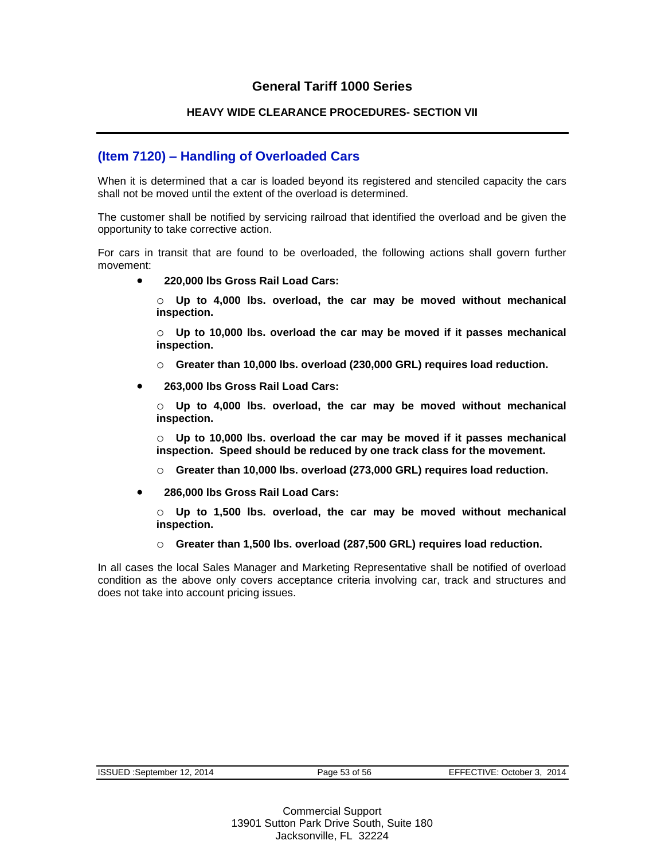#### **HEAVY WIDE CLEARANCE PROCEDURES- SECTION VII**

## **(Item 7120) – Handling of Overloaded Cars**

When it is determined that a car is loaded beyond its registered and stenciled capacity the cars shall not be moved until the extent of the overload is determined.

The customer shall be notified by servicing railroad that identified the overload and be given the opportunity to take corrective action.

For cars in transit that are found to be overloaded, the following actions shall govern further movement:

**220,000 lbs Gross Rail Load Cars:** 

o **Up to 4,000 lbs. overload, the car may be moved without mechanical inspection.**

o **Up to 10,000 lbs. overload the car may be moved if it passes mechanical inspection.**

- o **Greater than 10,000 lbs. overload (230,000 GRL) requires load reduction.**
- **263,000 lbs Gross Rail Load Cars:**

o **Up to 4,000 lbs. overload, the car may be moved without mechanical inspection.**

o **Up to 10,000 lbs. overload the car may be moved if it passes mechanical inspection. Speed should be reduced by one track class for the movement.**

- o **Greater than 10,000 lbs. overload (273,000 GRL) requires load reduction.**
- **286,000 lbs Gross Rail Load Cars:**

o **Up to 1,500 lbs. overload, the car may be moved without mechanical inspection.**

o **Greater than 1,500 lbs. overload (287,500 GRL) requires load reduction.**

In all cases the local Sales Manager and Marketing Representative shall be notified of overload condition as the above only covers acceptance criteria involving car, track and structures and does not take into account pricing issues.

| ISSUED<br>2014<br>≏September 1∴ بـ | of $56$<br>Page<br>55 | 2014<br>'IVE<br>October 3.<br>ັ |
|------------------------------------|-----------------------|---------------------------------|
|                                    |                       |                                 |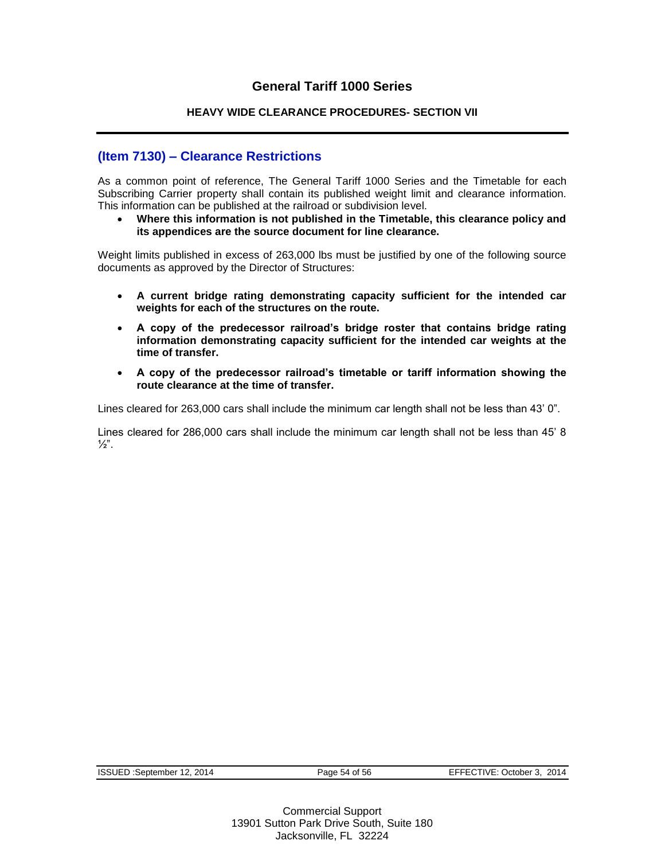#### **HEAVY WIDE CLEARANCE PROCEDURES- SECTION VII**

## **(Item 7130) – Clearance Restrictions**

As a common point of reference, The General Tariff 1000 Series and the Timetable for each Subscribing Carrier property shall contain its published weight limit and clearance information. This information can be published at the railroad or subdivision level.

 **Where this information is not published in the Timetable, this clearance policy and its appendices are the source document for line clearance.**

Weight limits published in excess of 263,000 lbs must be justified by one of the following source documents as approved by the Director of Structures:

- **A current bridge rating demonstrating capacity sufficient for the intended car weights for each of the structures on the route.**
- **A copy of the predecessor railroad's bridge roster that contains bridge rating information demonstrating capacity sufficient for the intended car weights at the time of transfer.**
- **A copy of the predecessor railroad's timetable or tariff information showing the route clearance at the time of transfer.**

Lines cleared for 263,000 cars shall include the minimum car length shall not be less than 43' 0".

Lines cleared for 286,000 cars shall include the minimum car length shall not be less than 45' 8  $\frac{1}{2}$ ".

| ISSUED:September 12, 2014 | Page 54 of 56 | EFFECTIVE: October 3, 2014 |
|---------------------------|---------------|----------------------------|
|                           |               |                            |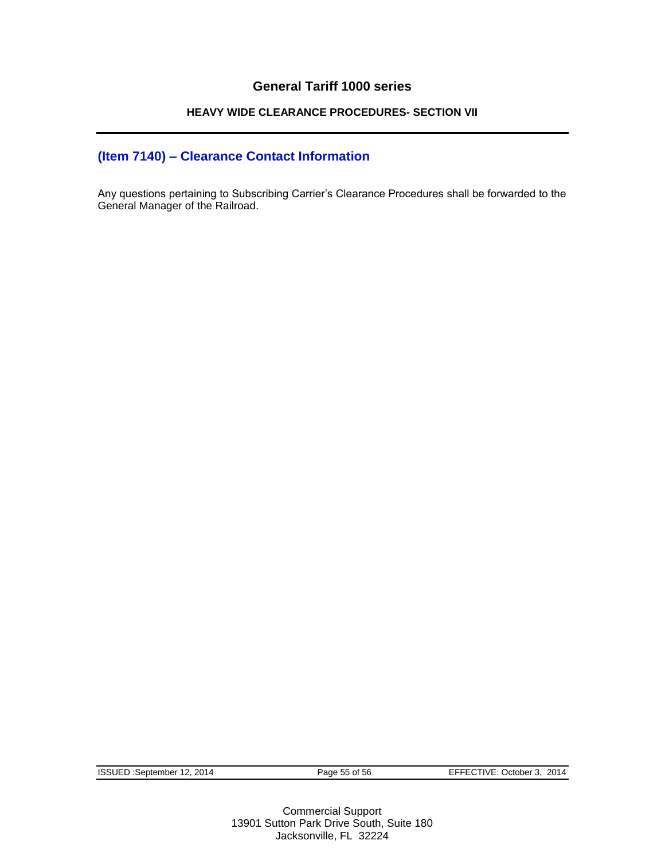## **HEAVY WIDE CLEARANCE PROCEDURES- SECTION VII**

# **(Item 7140) – Clearance Contact Information**

Any questions pertaining to Subscribing Carrier's Clearance Procedures shall be forwarded to the General Manager of the Railroad.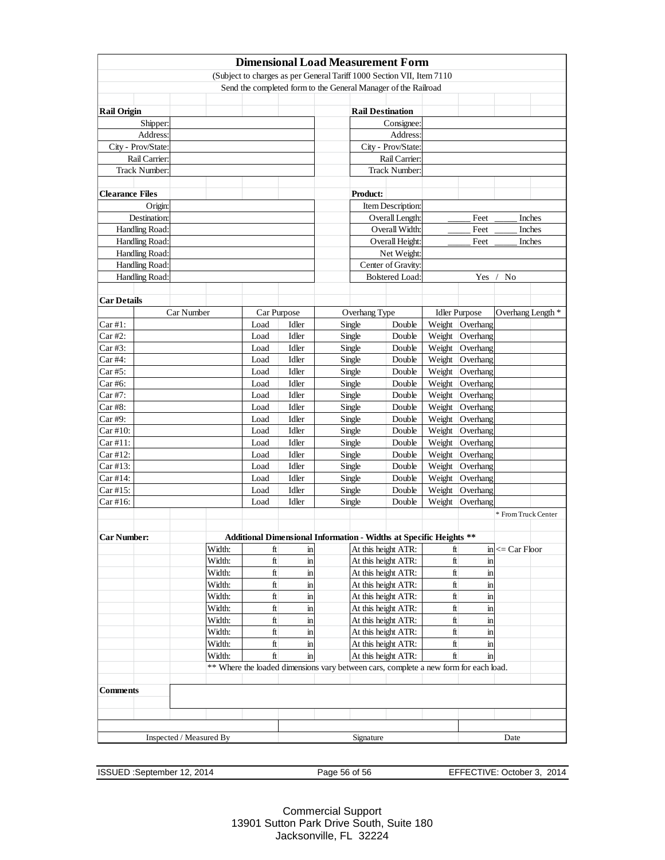| <b>Dimensional Load Measurement Form</b>                       |                         |              |                              |                                                                                      |                                            |                                                |                                          |                                         |        |
|----------------------------------------------------------------|-------------------------|--------------|------------------------------|--------------------------------------------------------------------------------------|--------------------------------------------|------------------------------------------------|------------------------------------------|-----------------------------------------|--------|
|                                                                |                         |              |                              | (Subject to charges as per General Tariff 1000 Section VII, Item 7110)               |                                            |                                                |                                          |                                         |        |
| Send the completed form to the General Manager of the Railroad |                         |              |                              |                                                                                      |                                            |                                                |                                          |                                         |        |
|                                                                |                         |              |                              |                                                                                      |                                            |                                                |                                          |                                         |        |
| <b>Rail Origin</b>                                             |                         |              |                              | <b>Rail Destination</b>                                                              |                                            |                                                |                                          |                                         |        |
| Shipper:                                                       |                         |              |                              | Consignee                                                                            |                                            |                                                |                                          |                                         |        |
| <b>Address</b>                                                 |                         |              |                              |                                                                                      | Address                                    |                                                |                                          |                                         |        |
| City - Prov/State:                                             |                         |              |                              |                                                                                      | City - Prov/State:                         |                                                |                                          |                                         |        |
| Rail Carrier:<br>Track Number:                                 |                         |              |                              |                                                                                      | Rail Carrier<br><b>Track Number</b>        |                                                |                                          |                                         |        |
|                                                                |                         |              |                              |                                                                                      |                                            |                                                |                                          |                                         |        |
| <b>Clearance Files</b>                                         |                         |              |                              | <b>Product:</b>                                                                      |                                            |                                                |                                          |                                         |        |
| Origin:                                                        |                         |              |                              |                                                                                      | Item Description:                          |                                                |                                          |                                         |        |
| Destination:                                                   |                         |              |                              |                                                                                      | Overall Length:                            |                                                | Feet                                     | Inches                                  |        |
| <b>Handling Road</b>                                           |                         |              |                              |                                                                                      | Overall Width:                             |                                                | Feet                                     | Inches                                  |        |
| Handling Road:                                                 |                         |              |                              |                                                                                      | Overall Height:                            |                                                | Feet                                     |                                         | Inches |
| Handling Road:                                                 |                         |              |                              |                                                                                      | Net Weight:                                |                                                |                                          |                                         |        |
| Handling Road:                                                 |                         |              |                              |                                                                                      | Center of Gravity                          |                                                |                                          |                                         |        |
| Handling Road:                                                 |                         |              |                              |                                                                                      | <b>Bolstered Load:</b>                     |                                                | Yes                                      | No                                      |        |
|                                                                |                         |              |                              |                                                                                      |                                            |                                                |                                          |                                         |        |
| <b>Car Details</b>                                             |                         |              |                              |                                                                                      |                                            |                                                |                                          |                                         |        |
|                                                                | Car Number              | Car Purpose  |                              | Overhang Type                                                                        |                                            |                                                | <b>Idler Purpose</b>                     | Overhang Length *                       |        |
| Car #1:                                                        |                         | Load         | Idler                        | Single                                                                               | Double                                     | Weight                                         | Overhang                                 |                                         |        |
| Car #2:                                                        |                         | Load         | Idler                        | Single                                                                               | Double                                     | Weight                                         | Overhang                                 |                                         |        |
| Car #3:                                                        |                         | Load         | Idler                        | Single                                                                               | Double                                     | Weight                                         | Overhang                                 |                                         |        |
| Car #4:                                                        |                         | Load         | Idler                        | Single                                                                               | Double                                     | Weight<br>Weight                               | Overhang                                 |                                         |        |
| Car #5:<br>Car #6:                                             |                         | Load<br>Load | Idler<br>Idler               |                                                                                      | Single<br>Double                           |                                                | Overhang<br>Overhang                     |                                         |        |
| Car #7:                                                        |                         | Load         | Idler                        |                                                                                      | Single<br>Double                           |                                                | Overhang                                 |                                         |        |
| Car #8:                                                        |                         | Load         | Idler                        | Single                                                                               | Single<br>Double<br>Double                 |                                                | Overhang                                 |                                         |        |
| Car #9:                                                        |                         | Load         | Idler                        | Single<br>Double                                                                     |                                            | Weight<br>Weight                               | Overhang                                 |                                         |        |
| Car #10:                                                       |                         | Load         | Idler                        | Single<br>Double                                                                     |                                            | Weight                                         | Overhang                                 |                                         |        |
| Car #11:                                                       |                         | Load         | Idler                        | Single<br>Double                                                                     |                                            | Weight                                         | Overhang                                 |                                         |        |
| Car #12:                                                       |                         | Load         | Idler                        | Single                                                                               | Double                                     | Weight                                         | Overhang                                 |                                         |        |
| Car #13:                                                       |                         | Load         | Idler                        | Single                                                                               | Double                                     | Weight                                         | Overhang                                 |                                         |        |
| Car #14:                                                       |                         | Load         | Idler                        | Single                                                                               | Double                                     | Weight                                         | Overhang                                 |                                         |        |
| Car #15:                                                       |                         | Load         | Idler                        | Single                                                                               | Double                                     | Weight                                         | Overhang                                 |                                         |        |
| Car #16:                                                       |                         | Load         | Idler                        | Single                                                                               | Double                                     | Weight                                         | Overhang                                 |                                         |        |
|                                                                |                         |              |                              |                                                                                      |                                            |                                                |                                          | * From Truck Center                     |        |
|                                                                |                         |              |                              |                                                                                      |                                            |                                                |                                          |                                         |        |
| <b>Car Number:</b>                                             |                         |              |                              | Additional Dimensional Information - Widths at Specific Heights **                   |                                            |                                                |                                          |                                         |        |
|                                                                | Width:                  | ft           | $\rm \dot{m}$                |                                                                                      | At this height ATR:                        | ft                                             | in                                       | $\vert \text{in} \vert \ll 1$ Car Floor |        |
|                                                                | Width:                  | $\rm{ft}$    | in                           |                                                                                      | At this height ATR:                        | $\rm{ft}$                                      |                                          |                                         |        |
|                                                                | Width:<br>Width:        | $\rm{ft}$    | $\mathbf{m}$<br>$\mathbf{m}$ |                                                                                      | At this height ATR:                        | $\ensuremath{\mbox{\textbf{ft}}}$<br>$\rm{ft}$ | $\mathbf{\dot{m}}$<br>$\mathbf{\dot{n}}$ |                                         |        |
|                                                                |                         | ft           |                              |                                                                                      | At this height ATR:                        |                                                |                                          |                                         |        |
|                                                                | Width:                  | ft<br>ft     | in<br>$\mathbf{m}$           |                                                                                      | At this height ATR:                        |                                                | ft<br>in<br>$\mathbf{m}$<br>ft           |                                         |        |
|                                                                | Width:<br>Width:        | $\rm{ft}$    | $\mathbf{\dot{n}}$           |                                                                                      | At this height ATR:<br>At this height ATR: |                                                | $\mathbf{m}$<br>$\rm{ft}$                |                                         |        |
|                                                                | Width:                  | ft           | in                           |                                                                                      | At this height ATR:                        |                                                | ft<br>$\mathbf{m}$                       |                                         |        |
|                                                                | Width:                  | ft           | $\mathbf{m}$                 |                                                                                      | At this height ATR:                        |                                                | $_{\rm ft}$<br>$\mathbf{m}$              |                                         |        |
|                                                                | Width:                  | ft           | $\mathbf{m}$                 |                                                                                      | At this height ATR:                        |                                                | $\mathbf{m}$<br>ft                       |                                         |        |
|                                                                |                         |              |                              | ** Where the loaded dimensions vary between cars, complete a new form for each load. |                                            |                                                |                                          |                                         |        |
|                                                                |                         |              |                              |                                                                                      |                                            |                                                |                                          |                                         |        |
| <b>Comments</b>                                                |                         |              |                              |                                                                                      |                                            |                                                |                                          |                                         |        |
|                                                                |                         |              |                              |                                                                                      |                                            |                                                |                                          |                                         |        |
|                                                                |                         |              |                              |                                                                                      |                                            |                                                |                                          |                                         |        |
|                                                                |                         |              |                              |                                                                                      |                                            |                                                |                                          |                                         |        |
|                                                                | Inspected / Measured By |              |                              | Signature                                                                            |                                            |                                                |                                          | Date                                    |        |

ISSUED :September 12, 2014 Page 56 of 56 EFFECTIVE: October 3, 2014